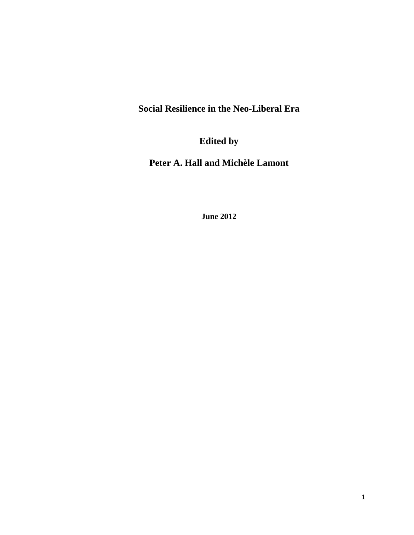**Social Resilience in the Neo-Liberal Era**

**Edited by** 

**Peter A. Hall and Michèle Lamont**

**June 2012**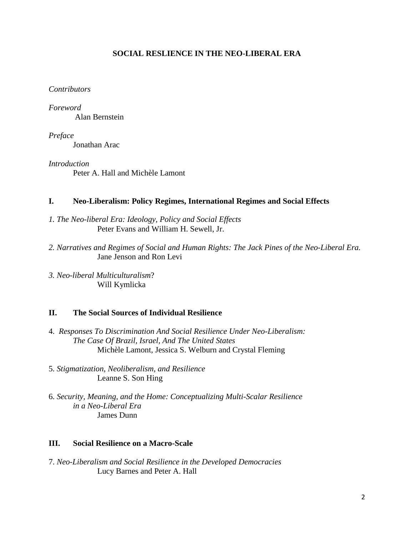# **SOCIAL RESLIENCE IN THE NEO-LIBERAL ERA**

# *Contributors*

*Foreword* Alan Bernstein

*Preface* Jonathan Arac

*Introduction* Peter A. Hall and Michèle Lamont

## **I. Neo-Liberalism: Policy Regimes, International Regimes and Social Effects**

- *1. The Neo-liberal Era: Ideology, Policy and Social Effects* Peter Evans and William H. Sewell, Jr.
- *2. Narratives and Regimes of Social and Human Rights: The Jack Pines of the Neo-Liberal Era.* Jane Jenson and Ron Levi
- *3. Neo-liberal Multiculturalism*? Will Kymlicka

# **II. The Social Sources of Individual Resilience**

- 4. *Responses To Discrimination And Social Resilience Under Neo-Liberalism: The Case Of Brazil, Israel, And The United States* Michèle Lamont, Jessica S. Welburn and Crystal Fleming
- 5. *Stigmatization, Neoliberalism, and Resilience* Leanne S. Son Hing
- 6. *Security, Meaning, and the Home: Conceptualizing Multi-Scalar Resilience in a Neo-Liberal Era* James Dunn

# **III. Social Resilience on a Macro-Scale**

7. *Neo-Liberalism and Social Resilience in the Developed Democracies* Lucy Barnes and Peter A. Hall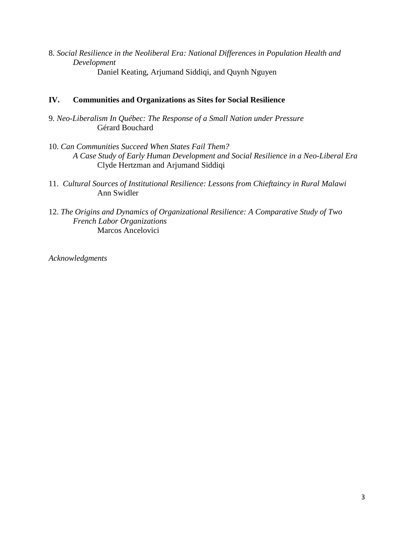8. *Social Resilience in the Neoliberal Era: National Differences in Population Health and Development*  Daniel Keating, Arjumand Siddiqi, and Quynh Nguyen

# **IV. Communities and Organizations as Sites for Social Resilience**

- 9*. Neo-Liberalism In Québec: The Response of a Small Nation under Pressure* Gérard Bouchard
- 10. *Can Communities Succeed When States Fail Them? A Case Study of Early Human Development and Social Resilience in a Neo-Liberal Era* Clyde Hertzman and Arjumand Siddiqi
- 11. *Cultural Sources of Institutional Resilience: Lessons from Chieftaincy in Rural Malawi* Ann Swidler
- 12. *The Origins and Dynamics of Organizational Resilience: A Comparative Study of Two French Labor Organizations*  Marcos Ancelovici

*Acknowledgments*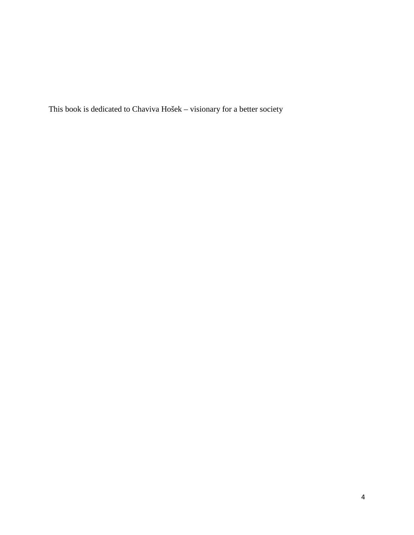This book is dedicated to Chaviva Hošek – visionary for a better society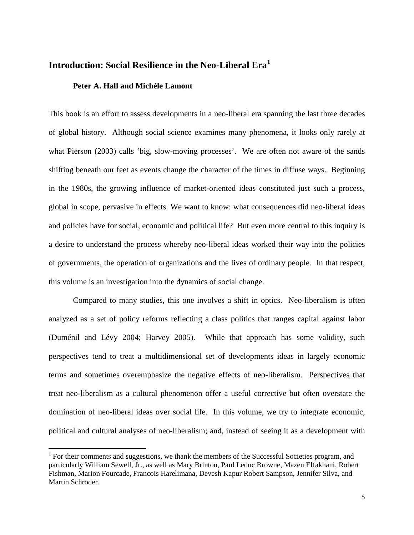# **Introduction: Social Resilience in the Neo-Liberal Era[1](#page-4-0)**

#### **Peter A. Hall and Michèle Lamont**

 $\overline{\phantom{0}}$ 

This book is an effort to assess developments in a neo-liberal era spanning the last three decades of global history. Although social science examines many phenomena, it looks only rarely at what Pierson (2003) calls 'big, slow-moving processes'. We are often not aware of the sands shifting beneath our feet as events change the character of the times in diffuse ways. Beginning in the 1980s, the growing influence of market-oriented ideas constituted just such a process, global in scope, pervasive in effects. We want to know: what consequences did neo-liberal ideas and policies have for social, economic and political life? But even more central to this inquiry is a desire to understand the process whereby neo-liberal ideas worked their way into the policies of governments, the operation of organizations and the lives of ordinary people. In that respect, this volume is an investigation into the dynamics of social change.

Compared to many studies, this one involves a shift in optics. Neo-liberalism is often analyzed as a set of policy reforms reflecting a class politics that ranges capital against labor (Duménil and Lévy 2004; Harvey 2005). While that approach has some validity, such perspectives tend to treat a multidimensional set of developments ideas in largely economic terms and sometimes overemphasize the negative effects of neo-liberalism. Perspectives that treat neo-liberalism as a cultural phenomenon offer a useful corrective but often overstate the domination of neo-liberal ideas over social life. In this volume, we try to integrate economic, political and cultural analyses of neo-liberalism; and, instead of seeing it as a development with

<span id="page-4-0"></span><sup>&</sup>lt;sup>1</sup> For their comments and suggestions, we thank the members of the Successful Societies program, and particularly William Sewell, Jr., as well as Mary Brinton, Paul Leduc Browne, Mazen Elfakhani, Robert Fishman, Marion Fourcade, Francois Harelimana, Devesh Kapur Robert Sampson, Jennifer Silva, and Martin Schröder.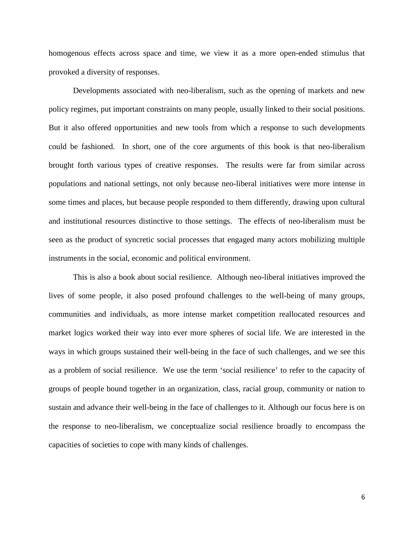homogenous effects across space and time, we view it as a more open-ended stimulus that provoked a diversity of responses.

Developments associated with neo-liberalism, such as the opening of markets and new policy regimes, put important constraints on many people, usually linked to their social positions. But it also offered opportunities and new tools from which a response to such developments could be fashioned. In short, one of the core arguments of this book is that neo-liberalism brought forth various types of creative responses. The results were far from similar across populations and national settings, not only because neo-liberal initiatives were more intense in some times and places, but because people responded to them differently, drawing upon cultural and institutional resources distinctive to those settings. The effects of neo-liberalism must be seen as the product of syncretic social processes that engaged many actors mobilizing multiple instruments in the social, economic and political environment.

This is also a book about social resilience. Although neo-liberal initiatives improved the lives of some people, it also posed profound challenges to the well-being of many groups, communities and individuals, as more intense market competition reallocated resources and market logics worked their way into ever more spheres of social life. We are interested in the ways in which groups sustained their well-being in the face of such challenges, and we see this as a problem of social resilience. We use the term 'social resilience' to refer to the capacity of groups of people bound together in an organization, class, racial group, community or nation to sustain and advance their well-being in the face of challenges to it. Although our focus here is on the response to neo-liberalism, we conceptualize social resilience broadly to encompass the capacities of societies to cope with many kinds of challenges.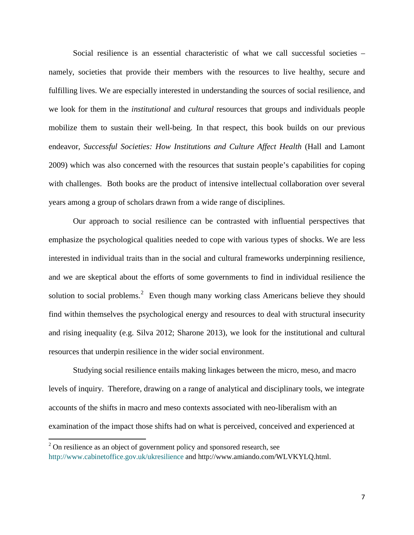Social resilience is an essential characteristic of what we call successful societies – namely, societies that provide their members with the resources to live healthy, secure and fulfilling lives. We are especially interested in understanding the sources of social resilience, and we look for them in the *institutional* and *cultural* resources that groups and individuals people mobilize them to sustain their well-being. In that respect, this book builds on our previous endeavor, *Successful Societies: How Institutions and Culture Affect Health* (Hall and Lamont 2009) which was also concerned with the resources that sustain people's capabilities for coping with challenges. Both books are the product of intensive intellectual collaboration over several years among a group of scholars drawn from a wide range of disciplines.

Our approach to social resilience can be contrasted with influential perspectives that emphasize the psychological qualities needed to cope with various types of shocks. We are less interested in individual traits than in the social and cultural frameworks underpinning resilience, and we are skeptical about the efforts of some governments to find in individual resilience the solution to social problems.<sup>[2](#page-6-0)</sup> Even though many working class Americans believe they should find within themselves the psychological energy and resources to deal with structural insecurity and rising inequality (e.g. Silva 2012; Sharone 2013), we look for the institutional and cultural resources that underpin resilience in the wider social environment.

Studying social resilience entails making linkages between the micro, meso, and macro levels of inquiry. Therefore, drawing on a range of analytical and disciplinary tools, we integrate accounts of the shifts in macro and meso contexts associated with neo-liberalism with an examination of the impact those shifts had on what is perceived, conceived and experienced at

 $\overline{\phantom{0}}$ 

<span id="page-6-0"></span> $2$  On resilience as an object of government policy and sponsored research, see <http://www.cabinetoffice.gov.uk/ukresilience> and http://www.amiando.com/WLVKYLQ.html.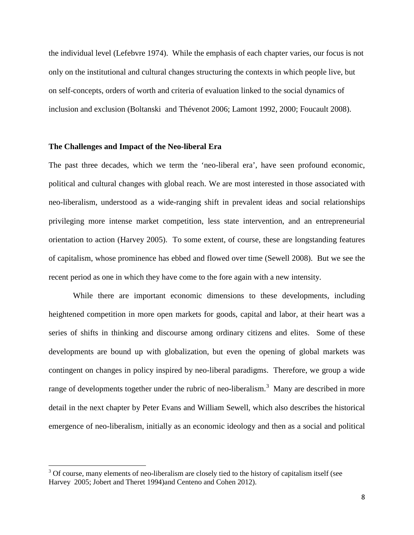the individual level (Lefebvre 1974). While the emphasis of each chapter varies, our focus is not only on the institutional and cultural changes structuring the contexts in which people live, but on self-concepts, orders of worth and criteria of evaluation linked to the social dynamics of inclusion and exclusion (Boltanski and Thévenot 2006; Lamont 1992, 2000; Foucault 2008).

#### **The Challenges and Impact of the Neo-liberal Era**

The past three decades, which we term the 'neo-liberal era', have seen profound economic, political and cultural changes with global reach. We are most interested in those associated with neo-liberalism, understood as a wide-ranging shift in prevalent ideas and social relationships privileging more intense market competition, less state intervention, and an entrepreneurial orientation to action (Harvey 2005). To some extent, of course, these are longstanding features of capitalism, whose prominence has ebbed and flowed over time (Sewell 2008). But we see the recent period as one in which they have come to the fore again with a new intensity.

While there are important economic dimensions to these developments, including heightened competition in more open markets for goods, capital and labor, at their heart was a series of shifts in thinking and discourse among ordinary citizens and elites. Some of these developments are bound up with globalization, but even the opening of global markets was contingent on changes in policy inspired by neo-liberal paradigms. Therefore, we group a wide range of developments together under the rubric of neo-liberalism.<sup>[3](#page-7-0)</sup> Many are described in more detail in the next chapter by Peter Evans and William Sewell, which also describes the historical emergence of neo-liberalism, initially as an economic ideology and then as a social and political

ı

<span id="page-7-0"></span> $3$  Of course, many elements of neo-liberalism are closely tied to the history of capitalism itself (see Harvey 2005; Jobert and Theret 1994)and Centeno and Cohen 2012).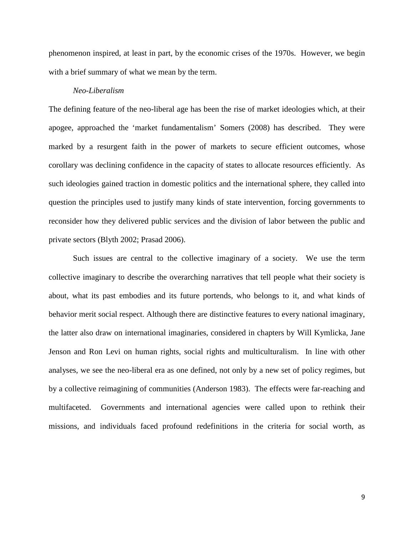phenomenon inspired, at least in part, by the economic crises of the 1970s. However, we begin with a brief summary of what we mean by the term.

#### *Neo-Liberalism*

The defining feature of the neo-liberal age has been the rise of market ideologies which, at their apogee, approached the 'market fundamentalism' Somers (2008) has described. They were marked by a resurgent faith in the power of markets to secure efficient outcomes, whose corollary was declining confidence in the capacity of states to allocate resources efficiently. As such ideologies gained traction in domestic politics and the international sphere, they called into question the principles used to justify many kinds of state intervention, forcing governments to reconsider how they delivered public services and the division of labor between the public and private sectors (Blyth 2002; Prasad 2006).

Such issues are central to the collective imaginary of a society. We use the term collective imaginary to describe the overarching narratives that tell people what their society is about, what its past embodies and its future portends, who belongs to it, and what kinds of behavior merit social respect. Although there are distinctive features to every national imaginary, the latter also draw on international imaginaries, considered in chapters by Will Kymlicka, Jane Jenson and Ron Levi on human rights, social rights and multiculturalism. In line with other analyses, we see the neo-liberal era as one defined, not only by a new set of policy regimes, but by a collective reimagining of communities (Anderson 1983). The effects were far-reaching and multifaceted. Governments and international agencies were called upon to rethink their missions, and individuals faced profound redefinitions in the criteria for social worth, as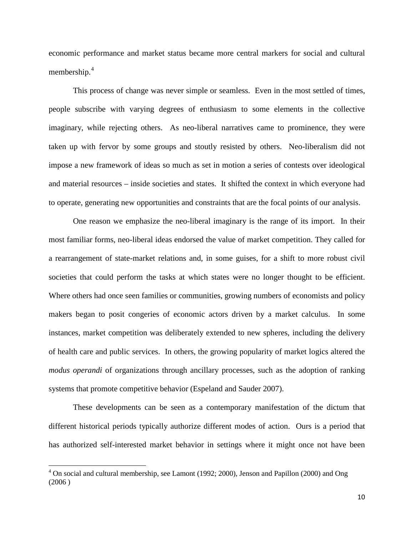economic performance and market status became more central markers for social and cultural membership.[4](#page-9-0)

This process of change was never simple or seamless. Even in the most settled of times, people subscribe with varying degrees of enthusiasm to some elements in the collective imaginary, while rejecting others. As neo-liberal narratives came to prominence, they were taken up with fervor by some groups and stoutly resisted by others. Neo-liberalism did not impose a new framework of ideas so much as set in motion a series of contests over ideological and material resources – inside societies and states. It shifted the context in which everyone had to operate, generating new opportunities and constraints that are the focal points of our analysis.

One reason we emphasize the neo-liberal imaginary is the range of its import. In their most familiar forms, neo-liberal ideas endorsed the value of market competition. They called for a rearrangement of state-market relations and, in some guises, for a shift to more robust civil societies that could perform the tasks at which states were no longer thought to be efficient. Where others had once seen families or communities, growing numbers of economists and policy makers began to posit congeries of economic actors driven by a market calculus. In some instances, market competition was deliberately extended to new spheres, including the delivery of health care and public services. In others, the growing popularity of market logics altered the *modus operandi* of organizations through ancillary processes, such as the adoption of ranking systems that promote competitive behavior (Espeland and Sauder 2007).

These developments can be seen as a contemporary manifestation of the dictum that different historical periods typically authorize different modes of action. Ours is a period that has authorized self-interested market behavior in settings where it might once not have been

ı

<span id="page-9-0"></span><sup>&</sup>lt;sup>4</sup> On social and cultural membership, see Lamont (1992; 2000), Jenson and Papillon (2000) and Ong  $(2006)$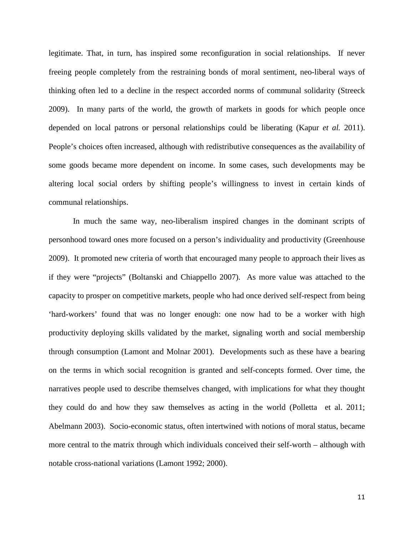legitimate. That, in turn, has inspired some reconfiguration in social relationships. If never freeing people completely from the restraining bonds of moral sentiment, neo-liberal ways of thinking often led to a decline in the respect accorded norms of communal solidarity (Streeck 2009). In many parts of the world, the growth of markets in goods for which people once depended on local patrons or personal relationships could be liberating (Kapur *et al.* 2011). People's choices often increased, although with redistributive consequences as the availability of some goods became more dependent on income. In some cases, such developments may be altering local social orders by shifting people's willingness to invest in certain kinds of communal relationships.

In much the same way, neo-liberalism inspired changes in the dominant scripts of personhood toward ones more focused on a person's individuality and productivity (Greenhouse 2009). It promoted new criteria of worth that encouraged many people to approach their lives as if they were "projects" (Boltanski and Chiappello 2007). As more value was attached to the capacity to prosper on competitive markets, people who had once derived self-respect from being 'hard-workers' found that was no longer enough: one now had to be a worker with high productivity deploying skills validated by the market, signaling worth and social membership through consumption (Lamont and Molnar 2001). Developments such as these have a bearing on the terms in which social recognition is granted and self-concepts formed. Over time, the narratives people used to describe themselves changed, with implications for what they thought they could do and how they saw themselves as acting in the world (Polletta et al. 2011; Abelmann 2003). Socio-economic status, often intertwined with notions of moral status, became more central to the matrix through which individuals conceived their self-worth – although with notable cross-national variations (Lamont 1992; 2000).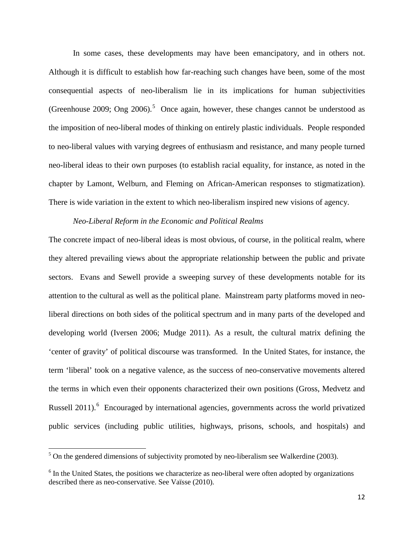In some cases, these developments may have been emancipatory, and in others not. Although it is difficult to establish how far-reaching such changes have been, some of the most consequential aspects of neo-liberalism lie in its implications for human subjectivities (Greenhouse 2009; Ong  $2006$ ).<sup>[5](#page-11-0)</sup> Once again, however, these changes cannot be understood as the imposition of neo-liberal modes of thinking on entirely plastic individuals. People responded to neo-liberal values with varying degrees of enthusiasm and resistance, and many people turned neo-liberal ideas to their own purposes (to establish racial equality, for instance, as noted in the chapter by Lamont, Welburn, and Fleming on African-American responses to stigmatization). There is wide variation in the extent to which neo-liberalism inspired new visions of agency.

#### *Neo-Liberal Reform in the Economic and Political Realms*

The concrete impact of neo-liberal ideas is most obvious, of course, in the political realm, where they altered prevailing views about the appropriate relationship between the public and private sectors. Evans and Sewell provide a sweeping survey of these developments notable for its attention to the cultural as well as the political plane. Mainstream party platforms moved in neoliberal directions on both sides of the political spectrum and in many parts of the developed and developing world (Iversen 2006; Mudge 2011). As a result, the cultural matrix defining the 'center of gravity' of political discourse was transformed. In the United States, for instance, the term 'liberal' took on a negative valence, as the success of neo-conservative movements altered the terms in which even their opponents characterized their own positions (Gross, Medvetz and Russell 2011).<sup>[6](#page-11-1)</sup> Encouraged by international agencies, governments across the world privatized public services (including public utilities, highways, prisons, schools, and hospitals) and

 $\overline{\phantom{0}}$ 

<span id="page-11-0"></span> $5$  On the gendered dimensions of subjectivity promoted by neo-liberalism see Walkerdine (2003).

<span id="page-11-1"></span> $6$  In the United States, the positions we characterize as neo-liberal were often adopted by organizations described there as neo-conservative. See Vaïsse (2010).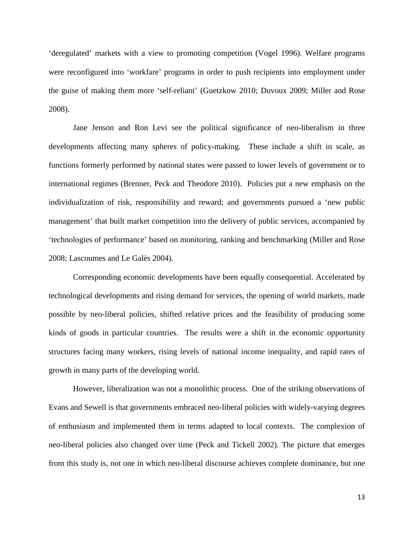'deregulated' markets with a view to promoting competition (Vogel 1996). Welfare programs were reconfigured into 'workfare' programs in order to push recipients into employment under the guise of making them more 'self-reliant' (Guetzkow 2010; Duvoux 2009; Miller and Rose 2008).

Jane Jenson and Ron Levi see the political significance of neo-liberalism in three developments affecting many spheres of policy-making. These include a shift in scale, as functions formerly performed by national states were passed to lower levels of government or to international regimes (Brenner, Peck and Theodore 2010). Policies put a new emphasis on the individualization of risk, responsibility and reward; and governments pursued a 'new public management' that built market competition into the delivery of public services, accompanied by 'technologies of performance' based on monitoring, ranking and benchmarking (Miller and Rose 2008; Lascoumes and Le Galès 2004).

Corresponding economic developments have been equally consequential. Accelerated by technological developments and rising demand for services, the opening of world markets, made possible by neo-liberal policies, shifted relative prices and the feasibility of producing some kinds of goods in particular countries. The results were a shift in the economic opportunity structures facing many workers, rising levels of national income inequality, and rapid rates of growth in many parts of the developing world.

However, liberalization was not a monolithic process. One of the striking observations of Evans and Sewell is that governments embraced neo-liberal policies with widely-varying degrees of enthusiasm and implemented them in terms adapted to local contexts. The complexion of neo-liberal policies also changed over time (Peck and Tickell 2002). The picture that emerges from this study is, not one in which neo-liberal discourse achieves complete dominance, but one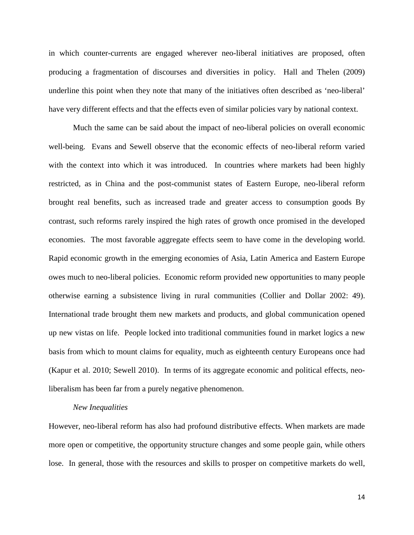in which counter-currents are engaged wherever neo-liberal initiatives are proposed, often producing a fragmentation of discourses and diversities in policy. Hall and Thelen (2009) underline this point when they note that many of the initiatives often described as 'neo-liberal' have very different effects and that the effects even of similar policies vary by national context.

Much the same can be said about the impact of neo-liberal policies on overall economic well-being. Evans and Sewell observe that the economic effects of neo-liberal reform varied with the context into which it was introduced. In countries where markets had been highly restricted, as in China and the post-communist states of Eastern Europe, neo-liberal reform brought real benefits, such as increased trade and greater access to consumption goods By contrast, such reforms rarely inspired the high rates of growth once promised in the developed economies. The most favorable aggregate effects seem to have come in the developing world. Rapid economic growth in the emerging economies of Asia, Latin America and Eastern Europe owes much to neo-liberal policies. Economic reform provided new opportunities to many people otherwise earning a subsistence living in rural communities (Collier and Dollar 2002: 49). International trade brought them new markets and products, and global communication opened up new vistas on life. People locked into traditional communities found in market logics a new basis from which to mount claims for equality, much as eighteenth century Europeans once had (Kapur et al. 2010; Sewell 2010). In terms of its aggregate economic and political effects, neoliberalism has been far from a purely negative phenomenon.

#### *New Inequalities*

However, neo-liberal reform has also had profound distributive effects. When markets are made more open or competitive, the opportunity structure changes and some people gain, while others lose. In general, those with the resources and skills to prosper on competitive markets do well,

14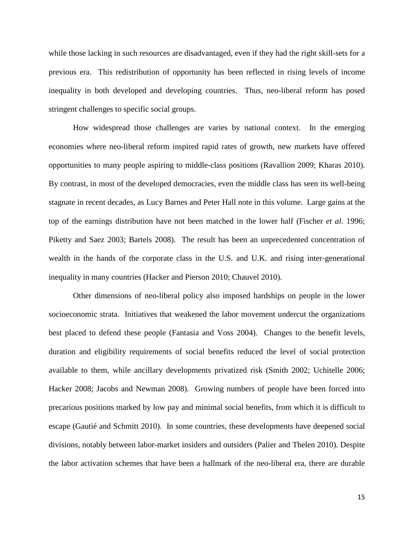while those lacking in such resources are disadvantaged, even if they had the right skill-sets for a previous era. This redistribution of opportunity has been reflected in rising levels of income inequality in both developed and developing countries. Thus, neo-liberal reform has posed stringent challenges to specific social groups.

How widespread those challenges are varies by national context. In the emerging economies where neo-liberal reform inspired rapid rates of growth, new markets have offered opportunities to many people aspiring to middle-class positions (Ravallion 2009; Kharas 2010). By contrast, in most of the developed democracies, even the middle class has seen its well-being stagnate in recent decades, as Lucy Barnes and Peter Hall note in this volume. Large gains at the top of the earnings distribution have not been matched in the lower half (Fischer *et al*. 1996; Piketty and Saez 2003; Bartels 2008). The result has been an unprecedented concentration of wealth in the hands of the corporate class in the U.S. and U.K. and rising inter-generational inequality in many countries (Hacker and Pierson 2010; Chauvel 2010).

Other dimensions of neo-liberal policy also imposed hardships on people in the lower socioeconomic strata. Initiatives that weakened the labor movement undercut the organizations best placed to defend these people (Fantasia and Voss 2004). Changes to the benefit levels, duration and eligibility requirements of social benefits reduced the level of social protection available to them, while ancillary developments privatized risk (Smith 2002; Uchitelle 2006; Hacker 2008; Jacobs and Newman 2008). Growing numbers of people have been forced into precarious positions marked by low pay and minimal social benefits, from which it is difficult to escape (Gautié and Schmitt 2010). In some countries, these developments have deepened social divisions, notably between labor-market insiders and outsiders (Palier and Thelen 2010). Despite the labor activation schemes that have been a hallmark of the neo-liberal era, there are durable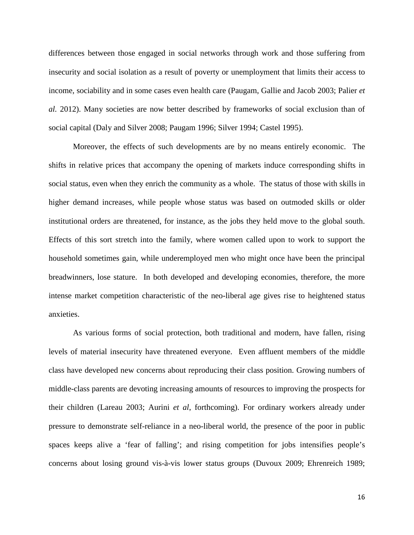differences between those engaged in social networks through work and those suffering from insecurity and social isolation as a result of poverty or unemployment that limits their access to income, sociability and in some cases even health care (Paugam, Gallie and Jacob 2003; Palier *et al.* 2012). Many societies are now better described by frameworks of social exclusion than of social capital (Daly and Silver 2008; Paugam 1996; Silver 1994; Castel 1995).

Moreover, the effects of such developments are by no means entirely economic. The shifts in relative prices that accompany the opening of markets induce corresponding shifts in social status, even when they enrich the community as a whole. The status of those with skills in higher demand increases, while people whose status was based on outmoded skills or older institutional orders are threatened, for instance, as the jobs they held move to the global south. Effects of this sort stretch into the family, where women called upon to work to support the household sometimes gain, while underemployed men who might once have been the principal breadwinners, lose stature. In both developed and developing economies, therefore, the more intense market competition characteristic of the neo-liberal age gives rise to heightened status anxieties.

As various forms of social protection, both traditional and modern, have fallen, rising levels of material insecurity have threatened everyone. Even affluent members of the middle class have developed new concerns about reproducing their class position. Growing numbers of middle-class parents are devoting increasing amounts of resources to improving the prospects for their children (Lareau 2003; Aurini *et al*, forthcoming). For ordinary workers already under pressure to demonstrate self-reliance in a neo-liberal world, the presence of the poor in public spaces keeps alive a 'fear of falling'; and rising competition for jobs intensifies people's concerns about losing ground vis-à-vis lower status groups (Duvoux 2009; Ehrenreich 1989;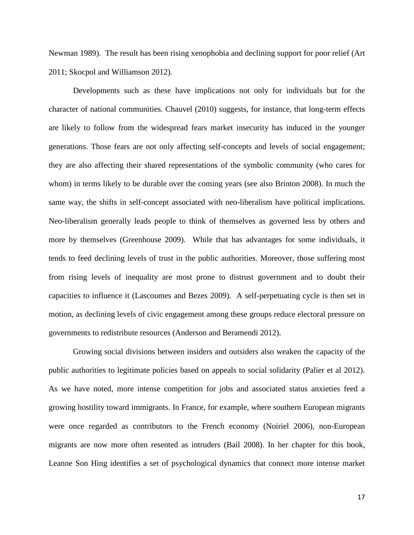Newman 1989). The result has been rising xenophobia and declining support for poor relief (Art 2011; Skocpol and Williamson 2012).

Developments such as these have implications not only for individuals but for the character of national communities. Chauvel (2010) suggests, for instance, that long-term effects are likely to follow from the widespread fears market insecurity has induced in the younger generations. Those fears are not only affecting self-concepts and levels of social engagement; they are also affecting their shared representations of the symbolic community (who cares for whom) in terms likely to be durable over the coming years (see also Brinton 2008). In much the same way, the shifts in self-concept associated with neo-liberalism have political implications. Neo-liberalism generally leads people to think of themselves as governed less by others and more by themselves (Greenhouse 2009). While that has advantages for some individuals, it tends to feed declining levels of trust in the public authorities. Moreover, those suffering most from rising levels of inequality are most prone to distrust government and to doubt their capacities to influence it (Lascoumes and Bezes 2009). A self-perpetuating cycle is then set in motion, as declining levels of civic engagement among these groups reduce electoral pressure on governments to redistribute resources (Anderson and Beramendi 2012).

Growing social divisions between insiders and outsiders also weaken the capacity of the public authorities to legitimate policies based on appeals to social solidarity (Palier et al 2012). As we have noted, more intense competition for jobs and associated status anxieties feed a growing hostility toward immigrants. In France, for example, where southern European migrants were once regarded as contributors to the French economy (Noiriel 2006), non-European migrants are now more often resented as intruders (Bail 2008). In her chapter for this book, Leanne Son Hing identifies a set of psychological dynamics that connect more intense market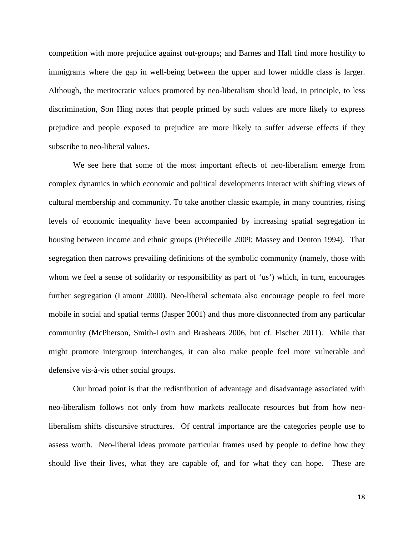competition with more prejudice against out-groups; and Barnes and Hall find more hostility to immigrants where the gap in well-being between the upper and lower middle class is larger. Although, the meritocratic values promoted by neo-liberalism should lead, in principle, to less discrimination, Son Hing notes that people primed by such values are more likely to express prejudice and people exposed to prejudice are more likely to suffer adverse effects if they subscribe to neo-liberal values.

We see here that some of the most important effects of neo-liberalism emerge from complex dynamics in which economic and political developments interact with shifting views of cultural membership and community. To take another classic example, in many countries, rising levels of economic inequality have been accompanied by increasing spatial segregation in housing between income and ethnic groups (Préteceille 2009; Massey and Denton 1994). That segregation then narrows prevailing definitions of the symbolic community (namely, those with whom we feel a sense of solidarity or responsibility as part of 'us') which, in turn, encourages further segregation (Lamont 2000). Neo-liberal schemata also encourage people to feel more mobile in social and spatial terms (Jasper 2001) and thus more disconnected from any particular community (McPherson, Smith-Lovin and Brashears 2006, but cf. Fischer 2011). While that might promote intergroup interchanges, it can also make people feel more vulnerable and defensive vis-à-vis other social groups.

Our broad point is that the redistribution of advantage and disadvantage associated with neo-liberalism follows not only from how markets reallocate resources but from how neoliberalism shifts discursive structures. Of central importance are the categories people use to assess worth. Neo-liberal ideas promote particular frames used by people to define how they should live their lives, what they are capable of, and for what they can hope. These are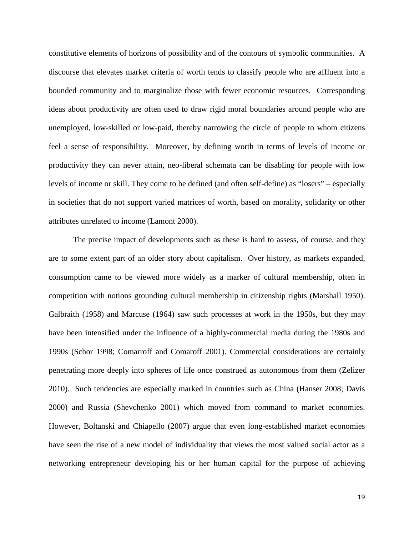constitutive elements of horizons of possibility and of the contours of symbolic communities. A discourse that elevates market criteria of worth tends to classify people who are affluent into a bounded community and to marginalize those with fewer economic resources. Corresponding ideas about productivity are often used to draw rigid moral boundaries around people who are unemployed, low-skilled or low-paid, thereby narrowing the circle of people to whom citizens feel a sense of responsibility. Moreover, by defining worth in terms of levels of income or productivity they can never attain, neo-liberal schemata can be disabling for people with low levels of income or skill. They come to be defined (and often self-define) as "losers" – especially in societies that do not support varied matrices of worth, based on morality, solidarity or other attributes unrelated to income (Lamont 2000).

The precise impact of developments such as these is hard to assess, of course, and they are to some extent part of an older story about capitalism. Over history, as markets expanded, consumption came to be viewed more widely as a marker of cultural membership, often in competition with notions grounding cultural membership in citizenship rights (Marshall 1950). Galbraith (1958) and Marcuse (1964) saw such processes at work in the 1950s, but they may have been intensified under the influence of a highly-commercial media during the 1980s and 1990s (Schor 1998; Comarroff and Comaroff 2001). Commercial considerations are certainly penetrating more deeply into spheres of life once construed as autonomous from them (Zelizer 2010). Such tendencies are especially marked in countries such as China (Hanser 2008; Davis 2000) and Russia (Shevchenko 2001) which moved from command to market economies. However, Boltanski and Chiapello (2007) argue that even long-established market economies have seen the rise of a new model of individuality that views the most valued social actor as a networking entrepreneur developing his or her human capital for the purpose of achieving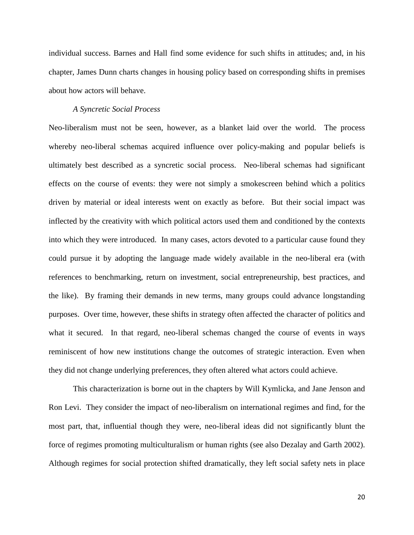individual success. Barnes and Hall find some evidence for such shifts in attitudes; and, in his chapter, James Dunn charts changes in housing policy based on corresponding shifts in premises about how actors will behave.

#### *A Syncretic Social Process*

Neo-liberalism must not be seen, however, as a blanket laid over the world. The process whereby neo-liberal schemas acquired influence over policy-making and popular beliefs is ultimately best described as a syncretic social process. Neo-liberal schemas had significant effects on the course of events: they were not simply a smokescreen behind which a politics driven by material or ideal interests went on exactly as before. But their social impact was inflected by the creativity with which political actors used them and conditioned by the contexts into which they were introduced. In many cases, actors devoted to a particular cause found they could pursue it by adopting the language made widely available in the neo-liberal era (with references to benchmarking, return on investment, social entrepreneurship, best practices, and the like). By framing their demands in new terms, many groups could advance longstanding purposes. Over time, however, these shifts in strategy often affected the character of politics and what it secured. In that regard, neo-liberal schemas changed the course of events in ways reminiscent of how new institutions change the outcomes of strategic interaction. Even when they did not change underlying preferences, they often altered what actors could achieve.

This characterization is borne out in the chapters by Will Kymlicka, and Jane Jenson and Ron Levi. They consider the impact of neo-liberalism on international regimes and find, for the most part, that, influential though they were, neo-liberal ideas did not significantly blunt the force of regimes promoting multiculturalism or human rights (see also Dezalay and Garth 2002). Although regimes for social protection shifted dramatically, they left social safety nets in place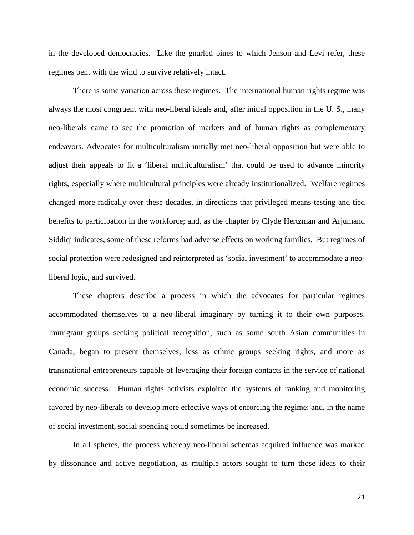in the developed democracies. Like the gnarled pines to which Jenson and Levi refer, these regimes bent with the wind to survive relatively intact.

There is some variation across these regimes. The international human rights regime was always the most congruent with neo-liberal ideals and, after initial opposition in the U. S., many neo-liberals came to see the promotion of markets and of human rights as complementary endeavors. Advocates for multiculturalism initially met neo-liberal opposition but were able to adjust their appeals to fit a 'liberal multiculturalism' that could be used to advance minority rights, especially where multicultural principles were already institutionalized. Welfare regimes changed more radically over these decades, in directions that privileged means-testing and tied benefits to participation in the workforce; and, as the chapter by Clyde Hertzman and Arjumand Siddiqi indicates, some of these reforms had adverse effects on working families. But regimes of social protection were redesigned and reinterpreted as 'social investment' to accommodate a neoliberal logic, and survived.

These chapters describe a process in which the advocates for particular regimes accommodated themselves to a neo-liberal imaginary by turning it to their own purposes. Immigrant groups seeking political recognition, such as some south Asian communities in Canada, began to present themselves, less as ethnic groups seeking rights, and more as transnational entrepreneurs capable of leveraging their foreign contacts in the service of national economic success. Human rights activists exploited the systems of ranking and monitoring favored by neo-liberals to develop more effective ways of enforcing the regime; and, in the name of social investment, social spending could sometimes be increased.

In all spheres, the process whereby neo-liberal schemas acquired influence was marked by dissonance and active negotiation, as multiple actors sought to turn those ideas to their

21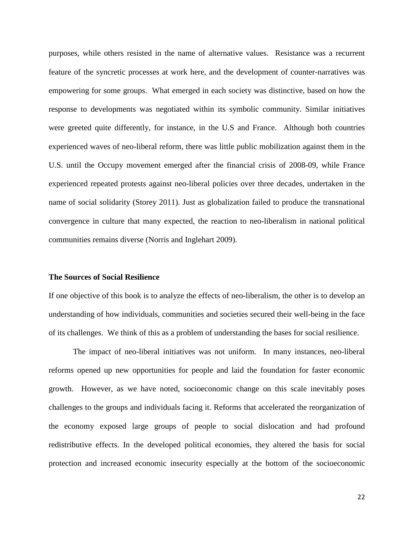purposes, while others resisted in the name of alternative values. Resistance was a recurrent feature of the syncretic processes at work here, and the development of counter-narratives was empowering for some groups. What emerged in each society was distinctive, based on how the response to developments was negotiated within its symbolic community. Similar initiatives were greeted quite differently, for instance, in the U.S and France. Although both countries experienced waves of neo-liberal reform, there was little public mobilization against them in the U.S. until the Occupy movement emerged after the financial crisis of 2008-09, while France experienced repeated protests against neo-liberal policies over three decades, undertaken in the name of social solidarity (Storey 2011). Just as globalization failed to produce the transnational convergence in culture that many expected, the reaction to neo-liberalism in national political communities remains diverse (Norris and Inglehart 2009).

#### **The Sources of Social Resilience**

If one objective of this book is to analyze the effects of neo-liberalism, the other is to develop an understanding of how individuals, communities and societies secured their well-being in the face of its challenges. We think of this as a problem of understanding the bases for social resilience.

The impact of neo-liberal initiatives was not uniform. In many instances, neo-liberal reforms opened up new opportunities for people and laid the foundation for faster economic growth. However, as we have noted, socioeconomic change on this scale inevitably poses challenges to the groups and individuals facing it. Reforms that accelerated the reorganization of the economy exposed large groups of people to social dislocation and had profound redistributive effects. In the developed political economies, they altered the basis for social protection and increased economic insecurity especially at the bottom of the socioeconomic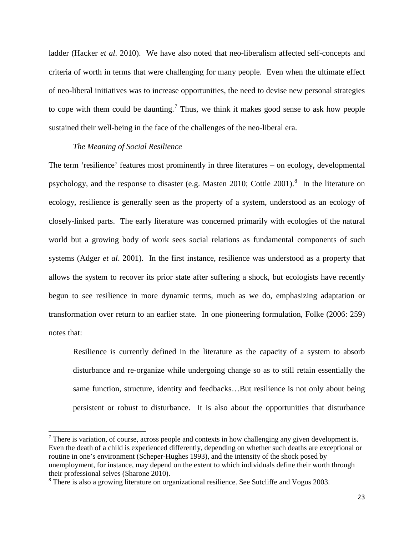ladder (Hacker *et al*. 2010). We have also noted that neo-liberalism affected self-concepts and criteria of worth in terms that were challenging for many people. Even when the ultimate effect of neo-liberal initiatives was to increase opportunities, the need to devise new personal strategies to cope with them could be daunting.<sup>[7](#page-22-0)</sup> Thus, we think it makes good sense to ask how people sustained their well-being in the face of the challenges of the neo-liberal era.

## *The Meaning of Social Resilience*

ı

The term 'resilience' features most prominently in three literatures – on ecology, developmental psychology, and the response to disaster (e.g. Masten 2010; Cottle 2001).<sup>[8](#page-22-1)</sup> In the literature on ecology, resilience is generally seen as the property of a system, understood as an ecology of closely-linked parts. The early literature was concerned primarily with ecologies of the natural world but a growing body of work sees social relations as fundamental components of such systems (Adger *et al*. 2001). In the first instance, resilience was understood as a property that allows the system to recover its prior state after suffering a shock, but ecologists have recently begun to see resilience in more dynamic terms, much as we do, emphasizing adaptation or transformation over return to an earlier state. In one pioneering formulation, Folke (2006: 259) notes that:

Resilience is currently defined in the literature as the capacity of a system to absorb disturbance and re-organize while undergoing change so as to still retain essentially the same function, structure, identity and feedbacks…But resilience is not only about being persistent or robust to disturbance. It is also about the opportunities that disturbance

<span id="page-22-0"></span> $7$  There is variation, of course, across people and contexts in how challenging any given development is. Even the death of a child is experienced differently, depending on whether such deaths are exceptional or routine in one's environment (Scheper-Hughes 1993), and the intensity of the shock posed by unemployment, for instance, may depend on the extent to which individuals define their worth through their professional selves (Sharone 2010).

<span id="page-22-1"></span><sup>&</sup>lt;sup>8</sup> There is also a growing literature on organizational resilience. See Sutcliffe and Vogus 2003.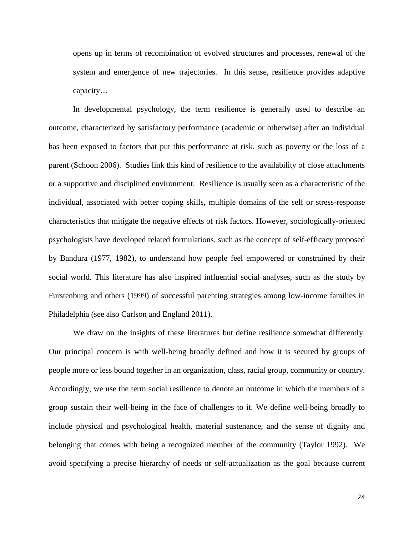opens up in terms of recombination of evolved structures and processes, renewal of the system and emergence of new trajectories. In this sense, resilience provides adaptive capacity…

In developmental psychology, the term resilience is generally used to describe an outcome, characterized by satisfactory performance (academic or otherwise) after an individual has been exposed to factors that put this performance at risk, such as poverty or the loss of a parent (Schoon 2006). Studies link this kind of resilience to the availability of close attachments or a supportive and disciplined environment. Resilience is usually seen as a characteristic of the individual, associated with better coping skills, multiple domains of the self or stress-response characteristics that mitigate the negative effects of risk factors. However, sociologically-oriented psychologists have developed related formulations, such as the concept of self-efficacy proposed by Bandura (1977, 1982), to understand how people feel empowered or constrained by their social world. This literature has also inspired influential social analyses, such as the study by Furstenburg and others (1999) of successful parenting strategies among low-income families in Philadelphia (see also Carlson and England 2011).

We draw on the insights of these literatures but define resilience somewhat differently. Our principal concern is with well-being broadly defined and how it is secured by groups of people more or less bound together in an organization, class, racial group, community or country. Accordingly, we use the term social resilience to denote an outcome in which the members of a group sustain their well-being in the face of challenges to it. We define well-being broadly to include physical and psychological health, material sustenance, and the sense of dignity and belonging that comes with being a recognized member of the community (Taylor 1992). We avoid specifying a precise hierarchy of needs or self-actualization as the goal because current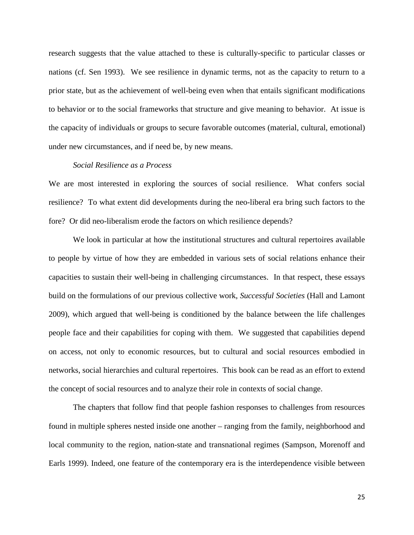research suggests that the value attached to these is culturally-specific to particular classes or nations (cf. Sen 1993). We see resilience in dynamic terms, not as the capacity to return to a prior state, but as the achievement of well-being even when that entails significant modifications to behavior or to the social frameworks that structure and give meaning to behavior. At issue is the capacity of individuals or groups to secure favorable outcomes (material, cultural, emotional) under new circumstances, and if need be, by new means.

#### *Social Resilience as a Process*

We are most interested in exploring the sources of social resilience. What confers social resilience? To what extent did developments during the neo-liberal era bring such factors to the fore? Or did neo-liberalism erode the factors on which resilience depends?

We look in particular at how the institutional structures and cultural repertoires available to people by virtue of how they are embedded in various sets of social relations enhance their capacities to sustain their well-being in challenging circumstances. In that respect, these essays build on the formulations of our previous collective work, *Successful Societies* (Hall and Lamont 2009), which argued that well-being is conditioned by the balance between the life challenges people face and their capabilities for coping with them. We suggested that capabilities depend on access, not only to economic resources, but to cultural and social resources embodied in networks, social hierarchies and cultural repertoires. This book can be read as an effort to extend the concept of social resources and to analyze their role in contexts of social change.

The chapters that follow find that people fashion responses to challenges from resources found in multiple spheres nested inside one another – ranging from the family, neighborhood and local community to the region, nation-state and transnational regimes (Sampson, Morenoff and Earls 1999). Indeed, one feature of the contemporary era is the interdependence visible between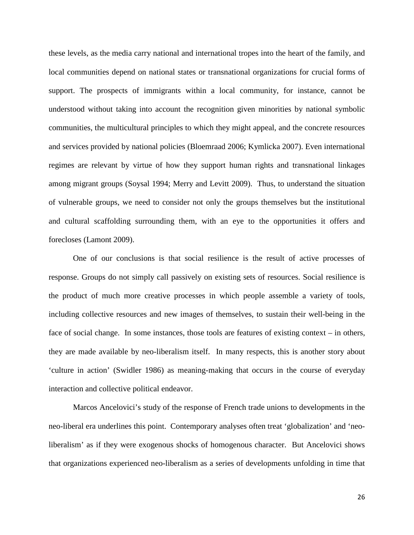these levels, as the media carry national and international tropes into the heart of the family, and local communities depend on national states or transnational organizations for crucial forms of support. The prospects of immigrants within a local community, for instance, cannot be understood without taking into account the recognition given minorities by national symbolic communities, the multicultural principles to which they might appeal, and the concrete resources and services provided by national policies (Bloemraad 2006; Kymlicka 2007). Even international regimes are relevant by virtue of how they support human rights and transnational linkages among migrant groups (Soysal 1994; Merry and Levitt 2009). Thus, to understand the situation of vulnerable groups, we need to consider not only the groups themselves but the institutional and cultural scaffolding surrounding them, with an eye to the opportunities it offers and forecloses (Lamont 2009).

One of our conclusions is that social resilience is the result of active processes of response. Groups do not simply call passively on existing sets of resources. Social resilience is the product of much more creative processes in which people assemble a variety of tools, including collective resources and new images of themselves, to sustain their well-being in the face of social change. In some instances, those tools are features of existing context – in others, they are made available by neo-liberalism itself. In many respects, this is another story about 'culture in action' (Swidler 1986) as meaning-making that occurs in the course of everyday interaction and collective political endeavor.

Marcos Ancelovici's study of the response of French trade unions to developments in the neo-liberal era underlines this point. Contemporary analyses often treat 'globalization' and 'neoliberalism' as if they were exogenous shocks of homogenous character. But Ancelovici shows that organizations experienced neo-liberalism as a series of developments unfolding in time that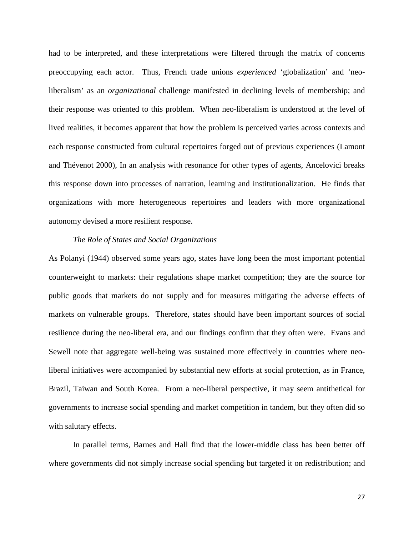had to be interpreted, and these interpretations were filtered through the matrix of concerns preoccupying each actor. Thus, French trade unions *experienced* 'globalization' and 'neoliberalism' as an *organizational* challenge manifested in declining levels of membership; and their response was oriented to this problem. When neo-liberalism is understood at the level of lived realities, it becomes apparent that how the problem is perceived varies across contexts and each response constructed from cultural repertoires forged out of previous experiences (Lamont and Thévenot 2000), In an analysis with resonance for other types of agents, Ancelovici breaks this response down into processes of narration, learning and institutionalization. He finds that organizations with more heterogeneous repertoires and leaders with more organizational autonomy devised a more resilient response.

## *The Role of States and Social Organizations*

As Polanyi (1944) observed some years ago, states have long been the most important potential counterweight to markets: their regulations shape market competition; they are the source for public goods that markets do not supply and for measures mitigating the adverse effects of markets on vulnerable groups. Therefore, states should have been important sources of social resilience during the neo-liberal era, and our findings confirm that they often were. Evans and Sewell note that aggregate well-being was sustained more effectively in countries where neoliberal initiatives were accompanied by substantial new efforts at social protection, as in France, Brazil, Taiwan and South Korea. From a neo-liberal perspective, it may seem antithetical for governments to increase social spending and market competition in tandem, but they often did so with salutary effects.

In parallel terms, Barnes and Hall find that the lower-middle class has been better off where governments did not simply increase social spending but targeted it on redistribution; and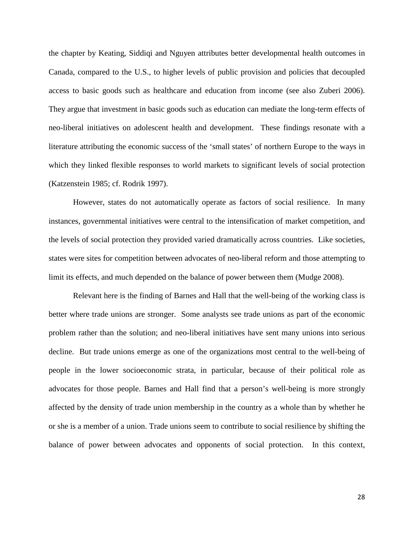the chapter by Keating, Siddiqi and Nguyen attributes better developmental health outcomes in Canada, compared to the U.S., to higher levels of public provision and policies that decoupled access to basic goods such as healthcare and education from income (see also Zuberi 2006). They argue that investment in basic goods such as education can mediate the long-term effects of neo-liberal initiatives on adolescent health and development. These findings resonate with a literature attributing the economic success of the 'small states' of northern Europe to the ways in which they linked flexible responses to world markets to significant levels of social protection (Katzenstein 1985; cf. Rodrik 1997).

However, states do not automatically operate as factors of social resilience. In many instances, governmental initiatives were central to the intensification of market competition, and the levels of social protection they provided varied dramatically across countries. Like societies, states were sites for competition between advocates of neo-liberal reform and those attempting to limit its effects, and much depended on the balance of power between them (Mudge 2008).

Relevant here is the finding of Barnes and Hall that the well-being of the working class is better where trade unions are stronger. Some analysts see trade unions as part of the economic problem rather than the solution; and neo-liberal initiatives have sent many unions into serious decline. But trade unions emerge as one of the organizations most central to the well-being of people in the lower socioeconomic strata, in particular, because of their political role as advocates for those people. Barnes and Hall find that a person's well-being is more strongly affected by the density of trade union membership in the country as a whole than by whether he or she is a member of a union. Trade unions seem to contribute to social resilience by shifting the balance of power between advocates and opponents of social protection. In this context,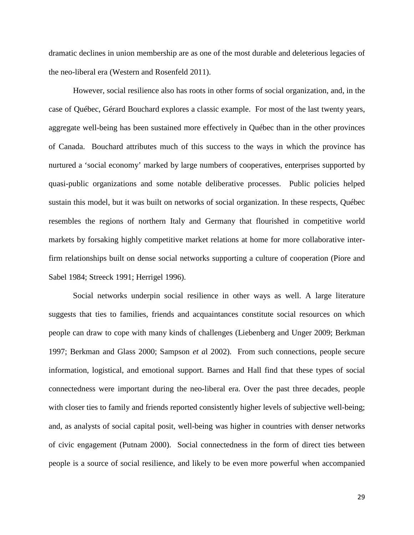dramatic declines in union membership are as one of the most durable and deleterious legacies of the neo-liberal era (Western and Rosenfeld 2011).

However, social resilience also has roots in other forms of social organization, and, in the case of Québec, Gérard Bouchard explores a classic example. For most of the last twenty years, aggregate well-being has been sustained more effectively in Québec than in the other provinces of Canada. Bouchard attributes much of this success to the ways in which the province has nurtured a 'social economy' marked by large numbers of cooperatives, enterprises supported by quasi-public organizations and some notable deliberative processes. Public policies helped sustain this model, but it was built on networks of social organization. In these respects, Québec resembles the regions of northern Italy and Germany that flourished in competitive world markets by forsaking highly competitive market relations at home for more collaborative interfirm relationships built on dense social networks supporting a culture of cooperation (Piore and Sabel 1984; Streeck 1991; Herrigel 1996).

Social networks underpin social resilience in other ways as well. A large literature suggests that ties to families, friends and acquaintances constitute social resources on which people can draw to cope with many kinds of challenges (Liebenberg and Unger 2009; Berkman 1997; Berkman and Glass 2000; Sampson *et a*l 2002). From such connections, people secure information, logistical, and emotional support. Barnes and Hall find that these types of social connectedness were important during the neo-liberal era. Over the past three decades, people with closer ties to family and friends reported consistently higher levels of subjective well-being; and, as analysts of social capital posit, well-being was higher in countries with denser networks of civic engagement (Putnam 2000). Social connectedness in the form of direct ties between people is a source of social resilience, and likely to be even more powerful when accompanied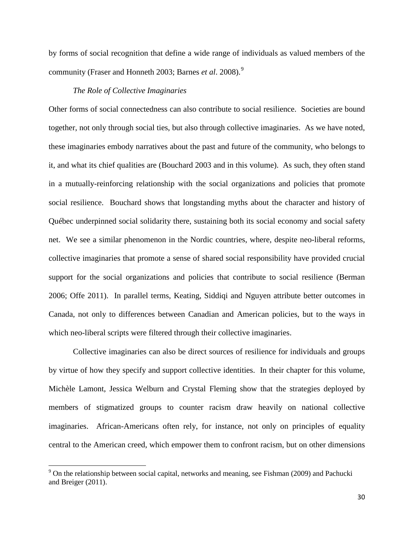by forms of social recognition that define a wide range of individuals as valued members of the community (Fraser and Honneth 2003; Barnes *et al.* 2008).<sup>[9](#page-29-0)</sup>

## *The Role of Collective Imaginaries*

Other forms of social connectedness can also contribute to social resilience. Societies are bound together, not only through social ties, but also through collective imaginaries. As we have noted, these imaginaries embody narratives about the past and future of the community, who belongs to it, and what its chief qualities are (Bouchard 2003 and in this volume). As such, they often stand in a mutually-reinforcing relationship with the social organizations and policies that promote social resilience. Bouchard shows that longstanding myths about the character and history of Québec underpinned social solidarity there, sustaining both its social economy and social safety net. We see a similar phenomenon in the Nordic countries, where, despite neo-liberal reforms, collective imaginaries that promote a sense of shared social responsibility have provided crucial support for the social organizations and policies that contribute to social resilience (Berman 2006; Offe 2011). In parallel terms, Keating, Siddiqi and Nguyen attribute better outcomes in Canada, not only to differences between Canadian and American policies, but to the ways in which neo-liberal scripts were filtered through their collective imaginaries.

Collective imaginaries can also be direct sources of resilience for individuals and groups by virtue of how they specify and support collective identities. In their chapter for this volume, Michèle Lamont, Jessica Welburn and Crystal Fleming show that the strategies deployed by members of stigmatized groups to counter racism draw heavily on national collective imaginaries. African-Americans often rely, for instance, not only on principles of equality central to the American creed, which empower them to confront racism, but on other dimensions

ı

<span id="page-29-0"></span> $9$  On the relationship between social capital, networks and meaning, see Fishman (2009) and Pachucki and Breiger (2011).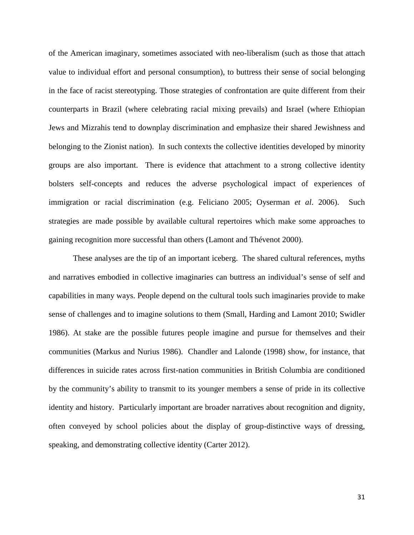of the American imaginary, sometimes associated with neo-liberalism (such as those that attach value to individual effort and personal consumption), to buttress their sense of social belonging in the face of racist stereotyping. Those strategies of confrontation are quite different from their counterparts in Brazil (where celebrating racial mixing prevails) and Israel (where Ethiopian Jews and Mizrahis tend to downplay discrimination and emphasize their shared Jewishness and belonging to the Zionist nation). In such contexts the collective identities developed by minority groups are also important. There is evidence that attachment to a strong collective identity bolsters self-concepts and reduces the adverse psychological impact of experiences of immigration or racial discrimination (e.g. Feliciano 2005; Oyserman *et al*. 2006). Such strategies are made possible by available cultural repertoires which make some approaches to gaining recognition more successful than others (Lamont and Thévenot 2000).

These analyses are the tip of an important iceberg. The shared cultural references, myths and narratives embodied in collective imaginaries can buttress an individual's sense of self and capabilities in many ways. People depend on the cultural tools such imaginaries provide to make sense of challenges and to imagine solutions to them (Small, Harding and Lamont 2010; Swidler 1986). At stake are the possible futures people imagine and pursue for themselves and their communities (Markus and Nurius 1986). Chandler and Lalonde (1998) show, for instance, that differences in suicide rates across first-nation communities in British Columbia are conditioned by the community's ability to transmit to its younger members a sense of pride in its collective identity and history. Particularly important are broader narratives about recognition and dignity, often conveyed by school policies about the display of group-distinctive ways of dressing, speaking, and demonstrating collective identity (Carter 2012).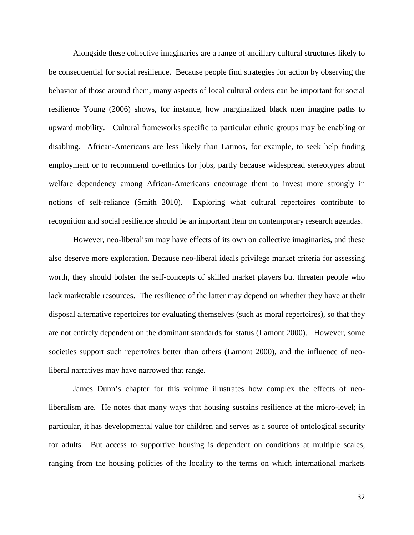Alongside these collective imaginaries are a range of ancillary cultural structures likely to be consequential for social resilience. Because people find strategies for action by observing the behavior of those around them, many aspects of local cultural orders can be important for social resilience Young (2006) shows, for instance, how marginalized black men imagine paths to upward mobility. Cultural frameworks specific to particular ethnic groups may be enabling or disabling. African-Americans are less likely than Latinos, for example, to seek help finding employment or to recommend co-ethnics for jobs, partly because widespread stereotypes about welfare dependency among African-Americans encourage them to invest more strongly in notions of self-reliance (Smith 2010). Exploring what cultural repertoires contribute to recognition and social resilience should be an important item on contemporary research agendas.

However, neo-liberalism may have effects of its own on collective imaginaries, and these also deserve more exploration. Because neo-liberal ideals privilege market criteria for assessing worth, they should bolster the self-concepts of skilled market players but threaten people who lack marketable resources. The resilience of the latter may depend on whether they have at their disposal alternative repertoires for evaluating themselves (such as moral repertoires), so that they are not entirely dependent on the dominant standards for status (Lamont 2000). However, some societies support such repertoires better than others (Lamont 2000), and the influence of neoliberal narratives may have narrowed that range.

James Dunn's chapter for this volume illustrates how complex the effects of neoliberalism are. He notes that many ways that housing sustains resilience at the micro-level; in particular, it has developmental value for children and serves as a source of ontological security for adults. But access to supportive housing is dependent on conditions at multiple scales, ranging from the housing policies of the locality to the terms on which international markets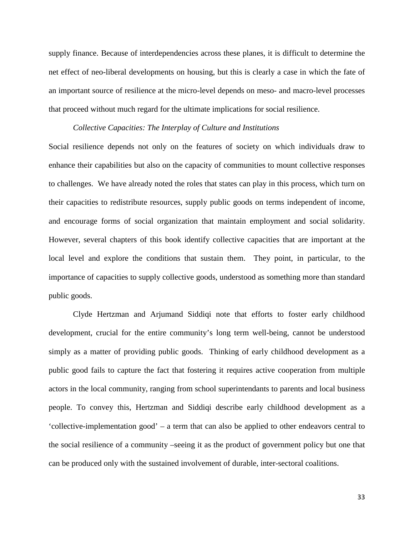supply finance. Because of interdependencies across these planes, it is difficult to determine the net effect of neo-liberal developments on housing, but this is clearly a case in which the fate of an important source of resilience at the micro-level depends on meso- and macro-level processes that proceed without much regard for the ultimate implications for social resilience.

#### *Collective Capacities: The Interplay of Culture and Institutions*

Social resilience depends not only on the features of society on which individuals draw to enhance their capabilities but also on the capacity of communities to mount collective responses to challenges. We have already noted the roles that states can play in this process, which turn on their capacities to redistribute resources, supply public goods on terms independent of income, and encourage forms of social organization that maintain employment and social solidarity. However, several chapters of this book identify collective capacities that are important at the local level and explore the conditions that sustain them. They point, in particular, to the importance of capacities to supply collective goods, understood as something more than standard public goods.

Clyde Hertzman and Arjumand Siddiqi note that efforts to foster early childhood development, crucial for the entire community's long term well-being, cannot be understood simply as a matter of providing public goods. Thinking of early childhood development as a public good fails to capture the fact that fostering it requires active cooperation from multiple actors in the local community, ranging from school superintendants to parents and local business people. To convey this, Hertzman and Siddiqi describe early childhood development as a 'collective-implementation good' – a term that can also be applied to other endeavors central to the social resilience of a community –seeing it as the product of government policy but one that can be produced only with the sustained involvement of durable, inter-sectoral coalitions.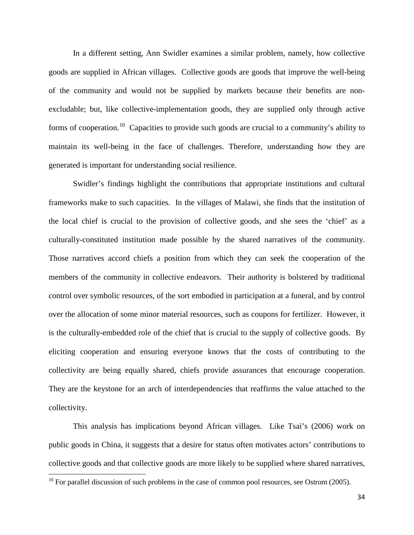In a different setting, Ann Swidler examines a similar problem, namely, how collective goods are supplied in African villages. Collective goods are goods that improve the well-being of the community and would not be supplied by markets because their benefits are nonexcludable; but, like collective-implementation goods, they are supplied only through active forms of cooperation.<sup>[10](#page-33-0)</sup> Capacities to provide such goods are crucial to a community's ability to maintain its well-being in the face of challenges. Therefore, understanding how they are generated is important for understanding social resilience.

Swidler's findings highlight the contributions that appropriate institutions and cultural frameworks make to such capacities. In the villages of Malawi, she finds that the institution of the local chief is crucial to the provision of collective goods, and she sees the 'chief' as a culturally-constituted institution made possible by the shared narratives of the community. Those narratives accord chiefs a position from which they can seek the cooperation of the members of the community in collective endeavors. Their authority is bolstered by traditional control over symbolic resources, of the sort embodied in participation at a funeral, and by control over the allocation of some minor material resources, such as coupons for fertilizer. However, it is the culturally-embedded role of the chief that is crucial to the supply of collective goods. By eliciting cooperation and ensuring everyone knows that the costs of contributing to the collectivity are being equally shared, chiefs provide assurances that encourage cooperation. They are the keystone for an arch of interdependencies that reaffirms the value attached to the collectivity.

This analysis has implications beyond African villages. Like Tsai's (2006) work on public goods in China, it suggests that a desire for status often motivates actors' contributions to collective goods and that collective goods are more likely to be supplied where shared narratives, ı

<span id="page-33-0"></span> $10$  For parallel discussion of such problems in the case of common pool resources, see Ostrom (2005).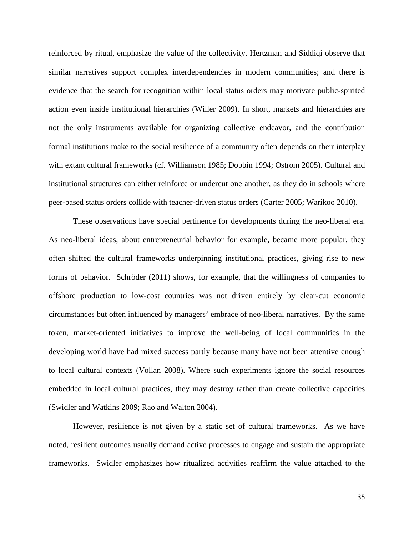reinforced by ritual, emphasize the value of the collectivity. Hertzman and Siddiqi observe that similar narratives support complex interdependencies in modern communities; and there is evidence that the search for recognition within local status orders may motivate public-spirited action even inside institutional hierarchies (Willer 2009). In short, markets and hierarchies are not the only instruments available for organizing collective endeavor, and the contribution formal institutions make to the social resilience of a community often depends on their interplay with extant cultural frameworks (cf. Williamson 1985; Dobbin 1994; Ostrom 2005). Cultural and institutional structures can either reinforce or undercut one another, as they do in schools where peer-based status orders collide with teacher-driven status orders (Carter 2005; Warikoo 2010).

These observations have special pertinence for developments during the neo-liberal era. As neo-liberal ideas, about entrepreneurial behavior for example, became more popular, they often shifted the cultural frameworks underpinning institutional practices, giving rise to new forms of behavior. Schröder (2011) shows, for example, that the willingness of companies to offshore production to low-cost countries was not driven entirely by clear-cut economic circumstances but often influenced by managers' embrace of neo-liberal narratives. By the same token, market-oriented initiatives to improve the well-being of local communities in the developing world have had mixed success partly because many have not been attentive enough to local cultural contexts (Vollan 2008). Where such experiments ignore the social resources embedded in local cultural practices, they may destroy rather than create collective capacities (Swidler and Watkins 2009; Rao and Walton 2004).

However, resilience is not given by a static set of cultural frameworks. As we have noted, resilient outcomes usually demand active processes to engage and sustain the appropriate frameworks. Swidler emphasizes how ritualized activities reaffirm the value attached to the

35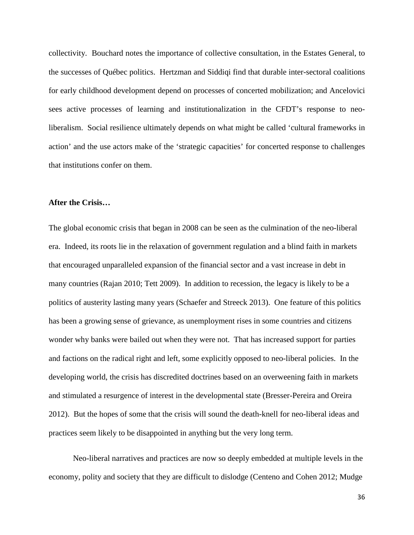collectivity. Bouchard notes the importance of collective consultation, in the Estates General, to the successes of Québec politics. Hertzman and Siddiqi find that durable inter-sectoral coalitions for early childhood development depend on processes of concerted mobilization; and Ancelovici sees active processes of learning and institutionalization in the CFDT's response to neoliberalism. Social resilience ultimately depends on what might be called 'cultural frameworks in action' and the use actors make of the 'strategic capacities' for concerted response to challenges that institutions confer on them.

#### **After the Crisis…**

The global economic crisis that began in 2008 can be seen as the culmination of the neo-liberal era. Indeed, its roots lie in the relaxation of government regulation and a blind faith in markets that encouraged unparalleled expansion of the financial sector and a vast increase in debt in many countries (Rajan 2010; Tett 2009). In addition to recession, the legacy is likely to be a politics of austerity lasting many years (Schaefer and Streeck 2013). One feature of this politics has been a growing sense of grievance, as unemployment rises in some countries and citizens wonder why banks were bailed out when they were not. That has increased support for parties and factions on the radical right and left, some explicitly opposed to neo-liberal policies. In the developing world, the crisis has discredited doctrines based on an overweening faith in markets and stimulated a resurgence of interest in the developmental state (Bresser-Pereira and Oreira 2012). But the hopes of some that the crisis will sound the death-knell for neo-liberal ideas and practices seem likely to be disappointed in anything but the very long term.

Neo-liberal narratives and practices are now so deeply embedded at multiple levels in the economy, polity and society that they are difficult to dislodge (Centeno and Cohen 2012; Mudge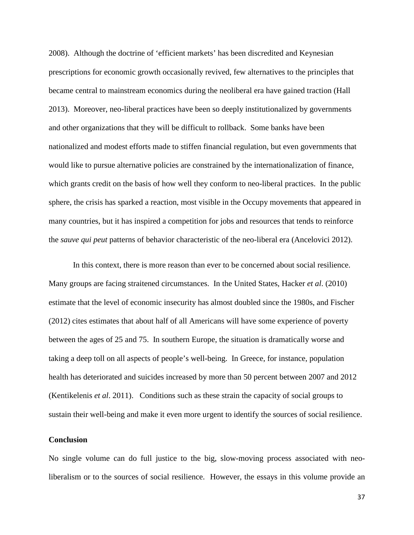2008). Although the doctrine of 'efficient markets' has been discredited and Keynesian prescriptions for economic growth occasionally revived, few alternatives to the principles that became central to mainstream economics during the neoliberal era have gained traction (Hall 2013). Moreover, neo-liberal practices have been so deeply institutionalized by governments and other organizations that they will be difficult to rollback. Some banks have been nationalized and modest efforts made to stiffen financial regulation, but even governments that would like to pursue alternative policies are constrained by the internationalization of finance, which grants credit on the basis of how well they conform to neo-liberal practices. In the public sphere, the crisis has sparked a reaction, most visible in the Occupy movements that appeared in many countries, but it has inspired a competition for jobs and resources that tends to reinforce the *sauve qui peut* patterns of behavior characteristic of the neo-liberal era (Ancelovici 2012).

In this context, there is more reason than ever to be concerned about social resilience. Many groups are facing straitened circumstances. In the United States, Hacker *et al*. (2010) estimate that the level of economic insecurity has almost doubled since the 1980s, and Fischer (2012) cites estimates that about half of all Americans will have some experience of poverty between the ages of 25 and 75. In southern Europe, the situation is dramatically worse and taking a deep toll on all aspects of people's well-being. In Greece, for instance, population health has deteriorated and suicides increased by more than 50 percent between 2007 and 2012 (Kentikelenis *et al*. 2011). Conditions such as these strain the capacity of social groups to sustain their well-being and make it even more urgent to identify the sources of social resilience.

### **Conclusion**

No single volume can do full justice to the big, slow-moving process associated with neoliberalism or to the sources of social resilience. However, the essays in this volume provide an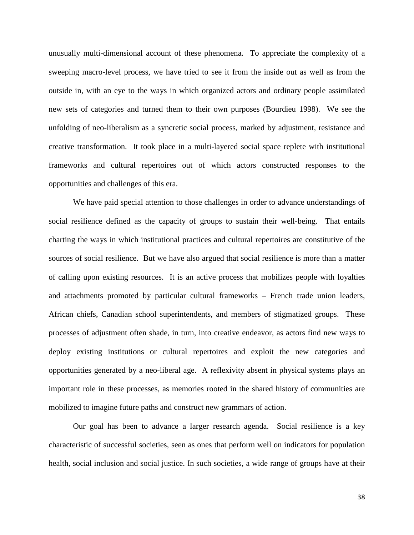unusually multi-dimensional account of these phenomena. To appreciate the complexity of a sweeping macro-level process, we have tried to see it from the inside out as well as from the outside in, with an eye to the ways in which organized actors and ordinary people assimilated new sets of categories and turned them to their own purposes (Bourdieu 1998). We see the unfolding of neo-liberalism as a syncretic social process, marked by adjustment, resistance and creative transformation. It took place in a multi-layered social space replete with institutional frameworks and cultural repertoires out of which actors constructed responses to the opportunities and challenges of this era.

We have paid special attention to those challenges in order to advance understandings of social resilience defined as the capacity of groups to sustain their well-being. That entails charting the ways in which institutional practices and cultural repertoires are constitutive of the sources of social resilience. But we have also argued that social resilience is more than a matter of calling upon existing resources. It is an active process that mobilizes people with loyalties and attachments promoted by particular cultural frameworks – French trade union leaders, African chiefs, Canadian school superintendents, and members of stigmatized groups. These processes of adjustment often shade, in turn, into creative endeavor, as actors find new ways to deploy existing institutions or cultural repertoires and exploit the new categories and opportunities generated by a neo-liberal age. A reflexivity absent in physical systems plays an important role in these processes, as memories rooted in the shared history of communities are mobilized to imagine future paths and construct new grammars of action.

Our goal has been to advance a larger research agenda. Social resilience is a key characteristic of successful societies, seen as ones that perform well on indicators for population health, social inclusion and social justice. In such societies, a wide range of groups have at their

38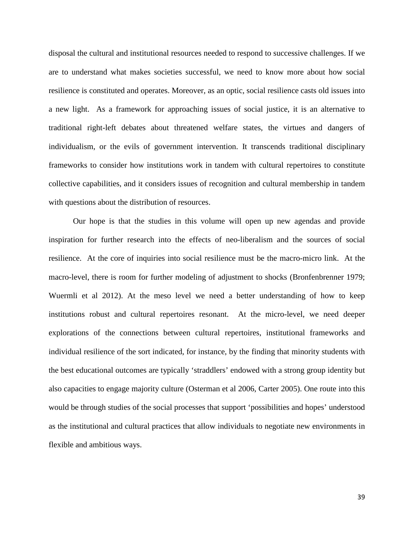disposal the cultural and institutional resources needed to respond to successive challenges. If we are to understand what makes societies successful, we need to know more about how social resilience is constituted and operates. Moreover, as an optic, social resilience casts old issues into a new light. As a framework for approaching issues of social justice, it is an alternative to traditional right-left debates about threatened welfare states, the virtues and dangers of individualism, or the evils of government intervention. It transcends traditional disciplinary frameworks to consider how institutions work in tandem with cultural repertoires to constitute collective capabilities, and it considers issues of recognition and cultural membership in tandem with questions about the distribution of resources.

Our hope is that the studies in this volume will open up new agendas and provide inspiration for further research into the effects of neo-liberalism and the sources of social resilience. At the core of inquiries into social resilience must be the macro-micro link. At the macro-level, there is room for further modeling of adjustment to shocks (Bronfenbrenner 1979; Wuermli et al 2012). At the meso level we need a better understanding of how to keep institutions robust and cultural repertoires resonant. At the micro-level, we need deeper explorations of the connections between cultural repertoires, institutional frameworks and individual resilience of the sort indicated, for instance, by the finding that minority students with the best educational outcomes are typically 'straddlers' endowed with a strong group identity but also capacities to engage majority culture (Osterman et al 2006, Carter 2005). One route into this would be through studies of the social processes that support 'possibilities and hopes' understood as the institutional and cultural practices that allow individuals to negotiate new environments in flexible and ambitious ways.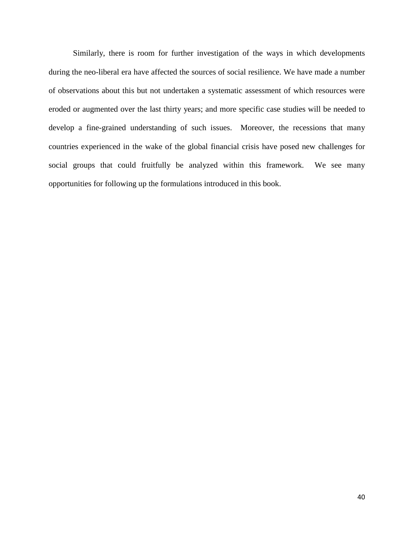Similarly, there is room for further investigation of the ways in which developments during the neo-liberal era have affected the sources of social resilience. We have made a number of observations about this but not undertaken a systematic assessment of which resources were eroded or augmented over the last thirty years; and more specific case studies will be needed to develop a fine-grained understanding of such issues. Moreover, the recessions that many countries experienced in the wake of the global financial crisis have posed new challenges for social groups that could fruitfully be analyzed within this framework. We see many opportunities for following up the formulations introduced in this book.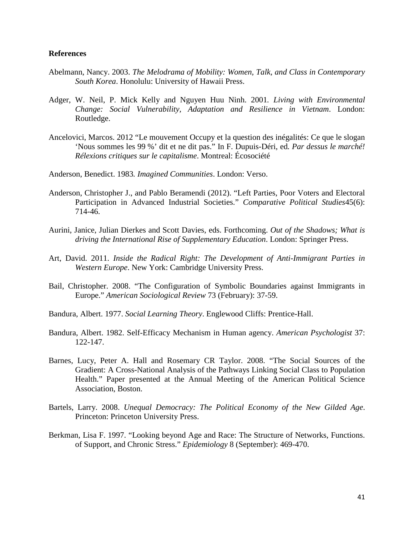## **References**

- Abelmann, Nancy. 2003. *The Melodrama of Mobility: Women, Talk, and Class in Contemporary South Korea*. Honolulu: University of Hawaii Press.
- Adger, W. Neil, P. Mick Kelly and Nguyen Huu Ninh. 2001*. Living with Environmental Change: Social Vulnerability, Adaptation and Resilience in Vietnam*. London: Routledge.
- Ancelovici, Marcos. 2012 "Le mouvement Occupy et la question des inégalités: Ce que le slogan 'Nous sommes les 99 %' dit et ne dit pas." In F. Dupuis-Déri, ed*. Par dessus le marché! Rélexions critiques sur le capitalisme*. Montreal: Écosociété
- Anderson, Benedict. 1983*. Imagined Communities*. London: Verso.
- Anderson, Christopher J., and Pablo Beramendi (2012). "Left Parties, Poor Voters and Electoral Participation in Advanced Industrial Societies." *Comparative Political Studies*45(6): 714-46.
- Aurini, Janice, Julian Dierkes and Scott Davies, eds. Forthcoming. *Out of the Shadows; What is driving the International Rise of Supplementary Education*. London: Springer Press.
- Art, David. 2011. *Inside the Radical Right: The Development of Anti-Immigrant Parties in Western Europe*. New York: Cambridge University Press.
- Bail, Christopher. 2008. "The Configuration of Symbolic Boundaries against Immigrants in Europe." *American Sociological Review* 73 (February): 37-59.
- Bandura, Albert. 1977. *Social Learning Theory*. Englewood Cliffs: Prentice-Hall.
- Bandura, Albert. 1982. Self-Efficacy Mechanism in Human agency. *American Psychologist* 37: 122-147.
- Barnes, Lucy, Peter A. Hall and Rosemary CR Taylor. 2008. "The Social Sources of the Gradient: A Cross-National Analysis of the Pathways Linking Social Class to Population Health." Paper presented at the Annual Meeting of the American Political Science Association, Boston.
- Bartels, Larry. 2008. *Unequal Democracy: The Political Economy of the New Gilded Age*. Princeton: Princeton University Press.
- Berkman, Lisa F. 1997. "Looking beyond Age and Race: The Structure of Networks, Functions. of Support, and Chronic Stress." *Epidemiology* 8 (September): 469-470.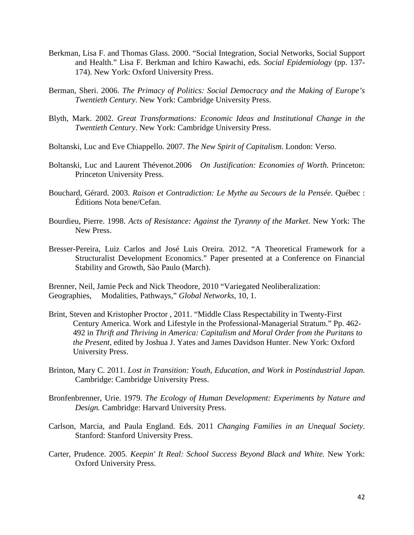- Berkman, Lisa F. and Thomas Glass. 2000. "Social Integration, Social Networks, Social Support and Health." Lisa F. Berkman and Ichiro Kawachi, eds. *Social Epidemiology* (pp. 137- 174). New York: Oxford University Press.
- Berman, Sheri. 2006. *The Primacy of Politics: Social Democracy and the Making of Europe's Twentieth Century*. New York: Cambridge University Press.
- Blyth, Mark. 2002. *Great Transformations: Economic Ideas and Institutional Change in the Twentieth Century*. New York: Cambridge University Press.
- Boltanski, Luc and Eve Chiappello. 2007. *The New Spirit of Capitalism*. London: Verso.
- Boltanski, Luc and Laurent Thévenot.2006 *On Justification: Economies of Worth.* Princeton: Princeton University Press.
- Bouchard, Gérard. 2003. *Raison et Contradiction: Le Mythe au Secours de la Pensée*. Québec : Éditions Nota bene/Cefan.
- Bourdieu, Pierre. 1998. *Acts of Resistance: Against the Tyranny of the Market*. New York: The New Press.
- Bresser-Pereira, Luiz Carlos and José Luis Oreira. 2012. "A Theoretical Framework for a Structuralist Development Economics." Paper presented at a Conference on Financial Stability and Growth, Sào Paulo (March).

Brenner, Neil, Jamie Peck and Nick Theodore, 2010 "Variegated Neoliberalization: Geographies, Modalities, Pathways," *Global Networks*, 10, 1.

- Brint, Steven and Kristopher Proctor , 2011. "Middle Class Respectability in Twenty-First Century America. Work and Lifestyle in the Professional-Managerial Stratum." Pp. 462- 492 in *Thrift and Thriving in America: Capitalism and Moral Order from the Puritans to the Present,* edited by Joshua J. Yates and James Davidson Hunter. New York: Oxford University Press.
- Brinton, Mary C. 2011. *Lost in Transition: Youth, Education, and Work in Postindustrial Japan.* Cambridge: Cambridge University Press.
- Bronfenbrenner, Urie. 1979. *The Ecology of Human Development: Experiments by Nature and Design.* Cambridge: Harvard University Press.
- Carlson, Marcia, and Paula England. Eds. 2011 *Changing Families in an Unequal Society*. Stanford: Stanford University Press.
- Carter, Prudence. 2005. *Keepin' It Real: School Success Beyond Black and White.* New York: Oxford University Press.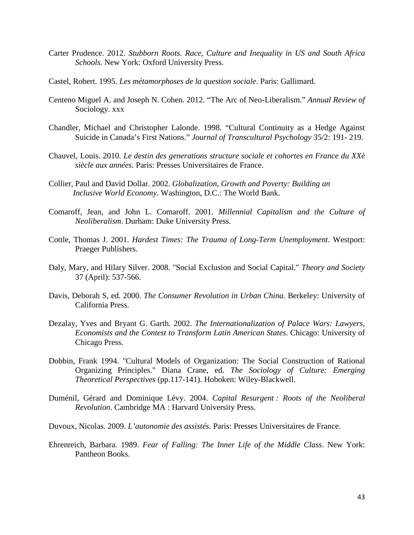- Carter Prudence. 2012. *Stubborn Roots. Race, Culture and Inequality in US and South Africa Schools.* New York: Oxford University Press.
- Castel, Robert. 1995. *Les métamorphoses de la question sociale*. Paris: Gallimard.
- Centeno Miguel A. and Joseph N. Cohen. 2012. "The Arc of Neo-Liberalism." *Annual Review of* Sociology. xxx
- Chandler, Michael and Christopher Lalonde. 1998. "Cultural Continuity as a Hedge Against Suicide in Canada's First Nations." *Journal of Transcultural Psychology* 35/2: 191- 219.
- Chauvel, Louis. 2010. *Le destin des generations structure sociale et cohortes en France du XXè siècle aux années.* Paris: Presses Universitaires de France.
- Collier, Paul and David Dollar. 2002. *Globalization, Growth and Poverty: Building an Inclusive World Economy*. Washington, D.C.: The World Bank.
- Comaroff, Jean, and John L. Comaroff. 2001. *Millennial Capitalism and the Culture of Neoliberalism*. Durham: Duke University Press.
- Cottle, Thomas J. 2001. *Hardest Times: The Trauma of Long-Term Unemployment*. Westport: Praeger Publishers.
- Daly, Mary, and Hilary Silver. 2008. "Social Exclusion and Social Capital." *Theory and Society* 37 (April): 537-566.
- Davis, Deborah S, ed. 2000. *The Consumer Revolution in Urban China*. Berkeley: University of California Press.
- Dezalay, Yves and Bryant G. Garth. 2002. *The Internationalization of Palace Wars: Lawyers, Economists and the Contest to Transform Latin American States*. Chicago: University of Chicago Press.
- Dobbin, Frank 1994. "Cultural Models of Organization: The Social Construction of Rational Organizing Principles." Diana Crane, ed. *The Sociology of Culture: Emerging Theoretical Perspectives* (pp.117-141). Hoboken: Wiley-Blackwell.
- Duménil, Gérard and Dominique Lévy. 2004. *Capital Resurgent : Roots of the Neoliberal Revolution*. Cambridge MA : Harvard University Press.
- Duvoux, Nicolas. 2009. *L'autonomie des assistés*. Paris: Presses Universitaires de France.
- Ehrenreich, Barbara. 1989. *Fear of Falling: The Inner Life of the Middle Class*. New York: Pantheon Books.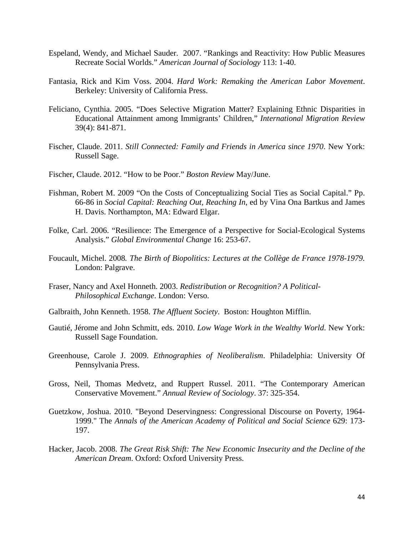- Espeland, Wendy, and Michael Sauder. 2007. "Rankings and Reactivity: How Public Measures Recreate Social Worlds." *American Journal of Sociology* 113: 1-40.
- Fantasia, Rick and Kim Voss. 2004. *Hard Work: Remaking the American Labor Movement*. Berkeley: University of California Press.
- Feliciano, Cynthia. 2005. "Does Selective Migration Matter? Explaining Ethnic Disparities in Educational Attainment among Immigrants' Children," *International Migration Review* 39(4): 841-871.
- Fischer, Claude. 2011. *Still Connected: Family and Friends in America since 1970*. New York: Russell Sage.
- Fischer, Claude. 2012. "How to be Poor." *Boston Review* May/June.
- Fishman, Robert M. 2009 "On the Costs of Conceptualizing Social Ties as Social Capital." Pp. 66-86 in *Social Capital: Reaching Out, Reaching In*, ed by Vina Ona Bartkus and James H. Davis. Northampton, MA: Edward Elgar.
- Folke, Carl. 2006. "Resilience: The Emergence of a Perspective for Social-Ecological Systems Analysis." *Global Environmental Change* 16: 253-67.
- Foucault, Michel. 2008*. The Birth of Biopolitics: Lectures at the Collège de France 1978-1979.* London: Palgrave.
- Fraser, Nancy and Axel Honneth. 2003. *Redistribution or Recognition? A Political-Philosophical Exchange*. London: Verso.
- Galbraith, John Kenneth. 1958. *The Affluent Society*. Boston: Houghton Mifflin.
- Gautié, Jérome and John Schmitt, eds. 2010. *Low Wage Work in the Wealthy World*. New York: Russell Sage Foundation.
- Greenhouse, Carole J. 2009. *Ethnographies of Neoliberalism*. Philadelphia: University Of Pennsylvania Press.
- Gross, Neil, Thomas Medvetz, and Ruppert Russel. 2011. "The Contemporary American Conservative Movement." *Annual Review of Sociology*. 37: 325-354.
- Guetzkow, Joshua. 2010. "Beyond Deservingness: Congressional Discourse on Poverty, 1964- 1999." The *Annals of the American Academy of Political and Social Science* 629: 173- 197.
- Hacker, Jacob. 2008. *The Great Risk Shift: The New Economic Insecurity and the Decline of the American Dream*. Oxford: Oxford University Press.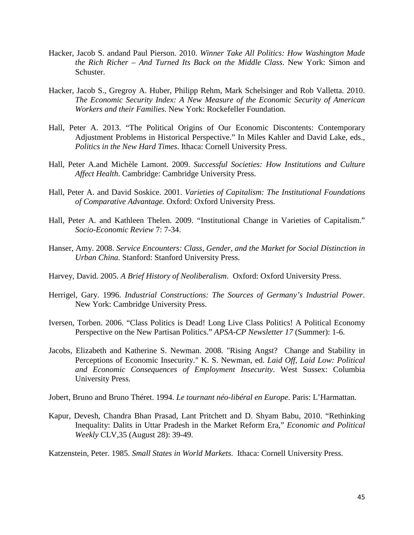- Hacker, Jacob S. andand Paul Pierson. 2010. *Winner Take All Politics: How Washington Made the Rich Richer – And Turned Its Back on the Middle Class*. New York: Simon and Schuster.
- Hacker, Jacob S., Gregroy A. Huber, Philipp Rehm, Mark Schelsinger and Rob Valletta. 2010. *The Economic Security Index: A New Measure of the Economic Security of American Workers and their Families*. New York: Rockefeller Foundation.
- Hall, Peter A. 2013. "The Political Origins of Our Economic Discontents: Contemporary Adjustment Problems in Historical Perspective." In Miles Kahler and David Lake, eds., *Politics in the New Hard Times*. Ithaca: Cornell University Press.
- Hall, Peter A.and Michèle Lamont. 2009. *Successful Societies: How Institutions and Culture Affect Health*. Cambridge: Cambridge University Press.
- Hall, Peter A. and David Soskice. 2001. *Varieties of Capitalism: The Institutional Foundations of Comparative Advantage.* Oxford: Oxford University Press.
- Hall, Peter A. and Kathleen Thelen. 2009. "Institutional Change in Varieties of Capitalism." *Socio-Economic Review* 7: 7-34.
- Hanser, Amy. 2008. *Service Encounters: Class, Gender, and the Market for Social Distinction in Urban China.* Stanford: Stanford University Press.
- Harvey, David. 2005. *A Brief History of Neoliberalism*. Oxford: Oxford University Press.
- Herrigel, Gary. 1996. *Industrial Constructions: The Sources of Germany's Industrial Power*. New York: Cambridge University Press.
- Iversen, Torben. 2006. "Class Politics is Dead! Long Live Class Politics! A Political Economy Perspective on the New Partisan Politics." *APSA-CP Newsletter 17* (Summer): 1-6.
- Jacobs, Elizabeth and Katherine S. Newman. 2008. "Rising Angst? Change and Stability in Perceptions of Economic Insecurity." K. S. Newman, ed. *Laid Off, Laid Low: Political and Economic Consequences of Employment Insecurity*. West Sussex: Columbia University Press.
- Jobert, Bruno and Bruno Théret. 1994. *Le tournant néo-libéral en Europe*. Paris: L'Harmattan.
- Kapur, Devesh, Chandra Bhan Prasad, Lant Pritchett and D. Shyam Babu, 2010. "Rethinking Inequality: Dalits in Uttar Pradesh in the Market Reform Era," *Economic and Political Weekly* CLV,35 (August 28): 39-49.

Katzenstein, Peter. 1985. *Small States in World Markets*. Ithaca: Cornell University Press.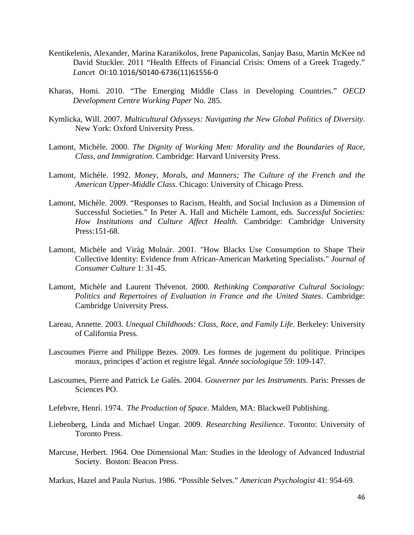- Kentikelenis, Alexander, Marina Karanikolos, Irene Papanicolas, Sanjay Basu, Martin McKee nd David Stuckler. 2011 "Health Effects of Financial Crisis: Omens of a Greek Tragedy." *Lance*t OI:10.1016/S0140-6736(11)61556-0
- Kharas, Homi. 2010. "The Emerging Middle Class in Developing Countries." *OECD Development Centre Working Paper* No. 285.
- Kymlicka, Will. 2007. *Multicultural Odysseys: Navigating the New Global Politics of Diversity*. New York: Oxford University Press.
- Lamont, Michèle. 2000. *The Dignity of Working Men: Morality and the Boundaries of Race, Class, and Immigration*. Cambridge: Harvard University Press.
- Lamont, Michèle. 1992. *Money, Morals, and Manners; The Culture of the French and the American Upper-Middle Class*. Chicago: University of Chicago Press.
- Lamont, Michèle. 2009. "Responses to Racism, Health, and Social Inclusion as a Dimension of Successful Societies." In Peter A. Hall and Michèle Lamont, eds. *Successful Societies: How Institutions and Culture Affect Health*. Cambridge: Cambridge University Press:151-68.
- Lamont, Michèle and Viràg Molnár. 2001. "How Blacks Use Consumption to Shape Their Collective Identity: Evidence from African-American Marketing Specialists." *Journal of Consumer Culture* 1: 31-45.
- Lamont, Michèle and Laurent Thévenot. 2000. *Rethinking Comparative Cultural Sociology: Politics and Repertoires of Evaluation in France and the United States*. Cambridge: Cambridge University Press.
- Lareau, Annette. 2003. *Unequal Childhoods: Class, Race, and Family Life*. Berkeley: University of California Press.
- Lascoumes Pierre and Philippe Bezes. 2009. Les formes de jugement du politique. Principes moraux, principes d'action et registre légal. *Année sociologique* 59: 109-147.
- Lascoumes, Pierre and Patrick Le Galès. 2004. *Gouverner par les Instruments*. Paris: Presses de Sciences PO.
- Lefebvre, Henrí. 1974. *The Production of Space*. Malden, MA: Blackwell Publishing.
- Liebenberg, Linda and Michael Ungar. 2009. *Researching Resilience*. Toronto: University of Toronto Press.
- Marcuse, Herbert. 1964. One Dimensional Man: Studies in the Ideology of Advanced Industrial Society. Boston: Beacon Press.

Markus, Hazel and Paula Nurius. 1986. "Possible Selves." *American Psychologist* 41: 954-69.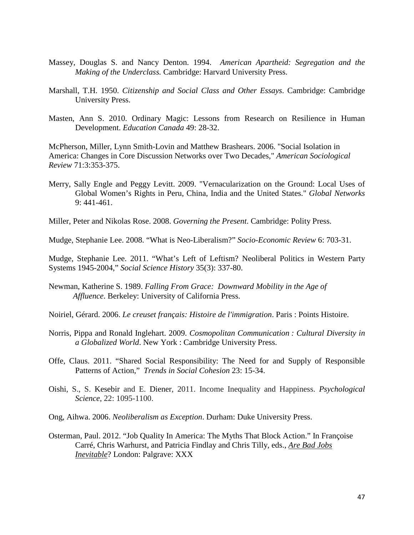- Massey, Douglas S. and Nancy Denton. 1994. *American Apartheid: Segregation and the Making of the Underclass.* Cambridge: Harvard University Press.
- Marshall, T.H. 1950. *Citizenship and Social Class and Other Essays*. Cambridge: Cambridge University Press.
- Masten, Ann S. 2010. Ordinary Magic: Lessons from Research on Resilience in Human Development. *Education Canada* 49: 28-32.

McPherson, Miller, Lynn Smith-Lovin and Matthew Brashears. 2006. "Social Isolation in America: Changes in Core Discussion Networks over Two Decades," *American Sociological Review* 71:3:353-375.

- Merry, Sally Engle and Peggy Levitt. 2009. "Vernacularization on the Ground: Local Uses of Global Women's Rights in Peru, China, India and the United States." *Global Networks*  $9: 441 - 461$ .
- Miller, Peter and Nikolas Rose. 2008. *Governing the Present*. Cambridge: Polity Press.

Mudge, Stephanie Lee. 2008. "What is Neo-Liberalism?" *Socio-Economic Review* 6: 703-31.

Mudge, Stephanie Lee. 2011. "What's Left of Leftism? Neoliberal Politics in Western Party Systems 1945-2004," *Social Science History* 35(3): 337-80.

- Newman, Katherine S. 1989. *Falling From Grace: Downward Mobility in the Age of Affluence*. Berkeley: University of California Press.
- Noiriel, Gérard. 2006. *Le creuset français: Histoire de l'immigration*. Paris : Points Histoire.
- Norris, Pippa and Ronald Inglehart. 2009. *Cosmopolitan Communication : Cultural Diversity in a Globalized World*. New York : Cambridge University Press.
- Offe, Claus. 2011. "Shared Social Responsibility: The Need for and Supply of Responsible Patterns of Action," *Trends in Social Cohesion* 23: 15-34.
- Oishi, S., S. Kesebir and E. Diener, 2011. Income Inequality and Happiness. *Psychological Science*, 22: 1095-1100.
- Ong, Aihwa. 2006. *Neoliberalism as Exception*. Durham: Duke University Press.
- Osterman, Paul. 2012. "Job Quality In America: The Myths That Block Action." In Françoise Carré, Chris Warhurst, and Patricia Findlay and Chris Tilly, eds., *Are Bad Jobs Inevitable*? London: Palgrave: XXX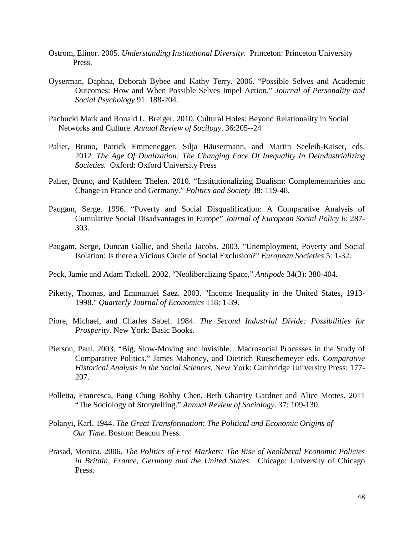- Ostrom, Elinor. 2005. *Understanding Institutional Diversity*. Princeton: Princeton University Press.
- Oyserman, Daphna, Deborah Bybee and Kathy Terry. 2006. "Possible Selves and Academic Outcomes: How and When Possible Selves Impel Action." *Journal of Personality and Social Psychology* 91: 188-204.
- Pachucki Mark and Ronald L. Breiger. 2010. Cultural Holes: Beyond Relationality in Social Networks and Culture. *Annual Review of Socilogy*. 36:205--24
- Palier, Bruno, Patrick Emmenegger, Silja Häusermann, and Martin Seeleib-Kaiser, eds. 2012*. The Age Of Dualization: The Changing Face Of Inequality In Deindustrializing Societies.* Oxford: [Oxford University Press](http://www.oup.com/us/catalog/general/subject/Politics/ComparativePolitics/?view=usa&ci=9780199797899)
- Palier, Bruno, and Kathleen Thelen. 2010. "Institutionalizing Dualism: Complementarities and Change in France and Germany." *Politics and Society* 38: 119-48.
- Paugam, Serge. 1996. "Poverty and Social Disqualification: A Comparative Analysis of Cumulative Social Disadvantages in Europe" *Journal of European Social Policy* 6: 287- 303.
- Paugam, Serge, Duncan Gallie, and Sheila Jacobs. 2003. "Unemployment, Poverty and Social Isolation: Is there a Vicious Circle of Social Exclusion?" *European Societies* 5: 1-32.
- Peck, Jamie and Adam Tickell. 2002. "Neoliberalizing Space," *Antipode* 34(3): 380-404.
- Piketty, Thomas, and Emmanuel Saez. 2003. "Income Inequality in the United States, 1913- 1998." *Quarterly Journal of Economics* 118: 1-39.
- Piore, Michael, and Charles Sabel. 1984. *The Second Industrial Divide: Possibilities for Prosperity*. New York: Basic Books.
- Pierson, Paul. 2003. "Big, Slow-Moving and Invisible…Macrosocial Processes in the Study of Comparative Politics." James Mahoney, and Dietrich Rueschemeyer eds. *Comparative Historical Analysis in the Social Sciences.* New York: Cambridge University Press: 177- 207.
- Polletta, Francesca, Pang Ching Bobby Chen, Beth Gharrity Gardner and Alice Mottes. 2011 "The Sociology of Storytelling." *Annual Review of Sociology*. 37: 109-130.
- Polanyi, Karl. 1944. *The Great Transformation: The Political and Economic Origins of Our Time*. Boston: Beacon Press.
- Prasad, Monica. 2006. *The Politics of Free Markets: The Rise of Neoliberal Economic Policies in Britain, France, Germany and the United States*. Chicago: University of Chicago Press.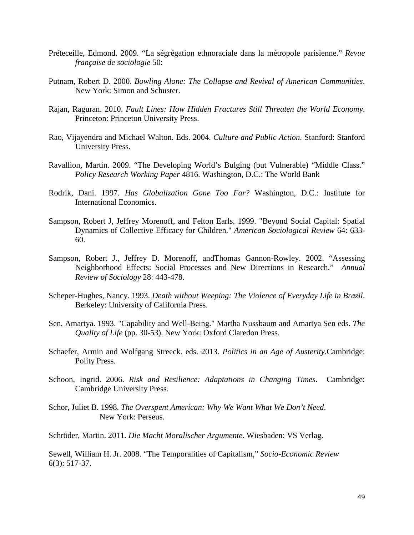- Préteceille, Edmond. 2009. "La ségrégation ethnoraciale dans la métropole parisienne." *Revue française de sociologie* 50:
- Putnam, Robert D. 2000. *Bowling Alone: The Collapse and Revival of American Communities*. New York: Simon and Schuster.
- Rajan, Raguran. 2010. *Fault Lines: How Hidden Fractures Still Threaten the World Economy*. Princeton: Princeton University Press.
- Rao, Vijayendra and Michael Walton. Eds. 2004. *Culture and Public Action*. Stanford: Stanford University Press.
- Ravallion, Martin. 2009. "The Developing World's Bulging (but Vulnerable) "Middle Class." *Policy Research Working Paper* 4816. Washington, D.C.: The World Bank
- Rodrik, Dani. 1997. *Has Globalization Gone Too Far?* Washington, D.C.: Institute for International Economics.
- Sampson, Robert J, Jeffrey Morenoff, and Felton Earls. 1999. "Beyond Social Capital: Spatial Dynamics of Collective Efficacy for Children." *American Sociological Review* 64: 633- 60.
- Sampson, Robert J., Jeffrey D. Morenoff, andThomas Gannon-Rowley. 2002. "Assessing Neighborhood Effects: Social Processes and New Directions in Research." *Annual Review of Sociology* 28: 443-478.
- Scheper-Hughes, Nancy. 1993. *Death without Weeping: The Violence of Everyday Life in Brazil*. Berkeley: University of California Press.
- Sen, Amartya. 1993. "Capability and Well-Being." Martha Nussbaum and Amartya Sen eds. *The Quality of Life* (pp. 30-53). New York: Oxford Claredon Press.
- Schaefer, Armin and Wolfgang Streeck. eds. 2013. *Politics in an Age of Austerity.*Cambridge: Polity Press.
- Schoon, Ingrid. 2006. *Risk and Resilience: Adaptations in Changing Times*. Cambridge: Cambridge University Press.
- Schor, Juliet B. 1998. *The Overspent American: Why We Want What We Don't Need*. New York: Perseus.

Schröder, Martin. 2011. *Die Macht Moralischer Argumente*. Wiesbaden: VS Verlag.

Sewell, William H. Jr. 2008. "The Temporalities of Capitalism," *Socio-Economic Review* 6(3): 517-37.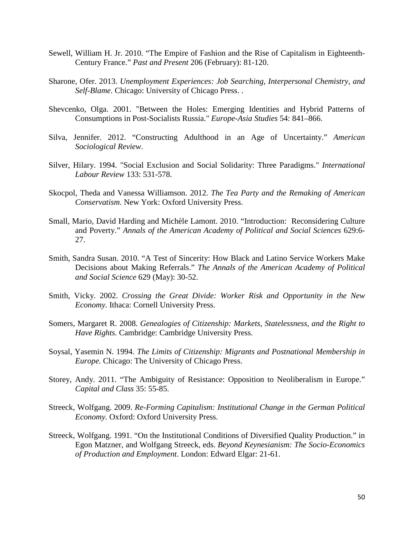- Sewell, William H. Jr. 2010. "The Empire of Fashion and the Rise of Capitalism in Eighteenth-Century France." *Past and Present* 206 (February): 81-120.
- Sharone, Ofer. 2013. *Unemployment Experiences: Job Searching, Interpersonal Chemistry, and Self-Blame*. Chicago: University of Chicago Press. .
- Shevcenko, Olga. 2001. "Between the Holes: Emerging Identities and Hybrid Patterns of Consumptions in Post-Socialists Russia." *Europe-Asia Studies* 54: 841–866.
- Silva, Jennifer. 2012. "Constructing Adulthood in an Age of Uncertainty." *American Sociological Review*.
- Silver, Hilary. 1994. "Social Exclusion and Social Solidarity: Three Paradigms." *International Labour Review* 133: 531-578.
- Skocpol, Theda and Vanessa Williamson. 2012. *The Tea Party and the Remaking of American Conservatism*. New York: Oxford University Press.
- Small, Mario, David Harding and Michèle Lamont. 2010. "Introduction: Reconsidering Culture and Poverty." *Annals of the American Academy of Political and Social Sciences* 629:6- 27.
- Smith, Sandra Susan. 2010. "A Test of Sincerity: How Black and Latino Service Workers Make Decisions about Making Referrals." *The Annals of the American Academy of Political and Social Science* 629 (May): 30-52.
- Smith, Vicky. 2002. *Crossing the Great Divide: Worker Risk and Opportunity in the New Economy.* Ithaca: Cornell University Press.
- Somers, Margaret R. 2008. *Genealogies of Citizenship: Markets, Statelessness, and the Right to Have Rights.* Cambridge: Cambridge University Press.
- Soysal, Yasemin N. 1994. *The Limits of Citizenship: Migrants and Postnational Membership in Europe.* Chicago: The University of Chicago Press.
- Storey, Andy. 2011. "The Ambiguity of Resistance: Opposition to Neoliberalism in Europe." *Capital and Class* 35: 55-85.
- Streeck, Wolfgang. 2009. *Re-Forming Capitalism: Institutional Change in the German Political Economy.* Oxford: Oxford University Press.
- Streeck, Wolfgang. 1991. "On the Institutional Conditions of Diversified Quality Production." in Egon Matzner, and Wolfgang Streeck, eds. *Beyond Keynesianism: The Socio-Economics of Production and Employment*. London: Edward Elgar: 21-61.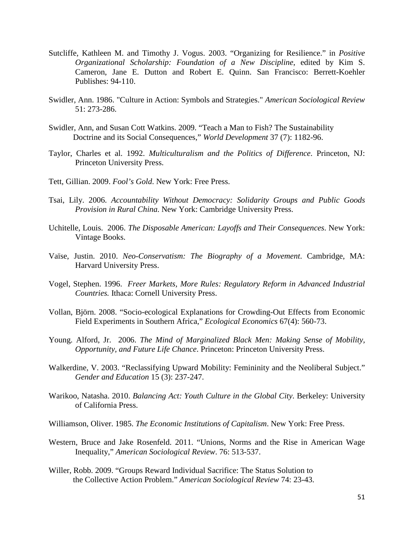- Sutcliffe, Kathleen M. and Timothy J. Vogus. 2003. "Organizing for Resilience." in *Positive Organizational Scholarship: Foundation of a New Discipline*, edited by Kim S. Cameron, Jane E. Dutton and Robert E. Quinn. San Francisco: Berrett-Koehler Publishes: 94-110.
- Swidler, Ann. 1986. "Culture in Action: Symbols and Strategies." *American Sociological Review* 51: 273-286.
- Swidler, Ann, and Susan Cott Watkins. 2009. "Teach a Man to Fish? The Sustainability Doctrine and its Social Consequences," *World Development* 37 (7): 1182-96.
- Taylor, Charles et al. 1992. *Multiculturalism and the Politics of Difference*. Princeton, NJ: Princeton University Press.
- Tett, Gillian. 2009. *Fool's Gold*. New York: Free Press.
- Tsai, Lily. 2006. *Accountability Without Democracy: Solidarity Groups and Public Goods Provision in Rural China*. New York: Cambridge University Press.
- Uchitelle, Louis. 2006. *The Disposable American: Layoffs and Their Consequences*. New York: Vintage Books.
- Vaïse, Justin. 2010. *Neo-Conservatism: The Biography of a Movement*. Cambridge, MA: Harvard University Press.
- Vogel, Stephen. 1996. *Freer Markets, More Rules: Regulatory Reform in Advanced Industrial Countries.* Ithaca: Cornell University Press.
- Vollan, Björn. 2008. "Socio-ecological Explanations for Crowding-Out Effects from Economic Field Experiments in Southern Africa," *Ecological Economics* 67(4): 560-73.
- Young. Alford, Jr. 2006. *The Mind of Marginalized Black Men: Making Sense of Mobility, Opportunity, and Future Life Chance*. Princeton: Princeton University Press.
- Walkerdine, V. 2003. "Reclassifying Upward Mobility: Femininity and the Neoliberal Subject." *Gender and Education* 15 (3): 237-247.
- Warikoo, Natasha. 2010. *Balancing Act: Youth Culture in the Global City*. Berkeley: University of California Press.
- Williamson, Oliver. 1985. *The Economic Institutions of Capitalism*. New York: Free Press.
- Western, Bruce and Jake Rosenfeld. 2011. "Unions, Norms and the Rise in American Wage Inequality," *American Sociological Review*. 76: 513-537.
- Willer, Robb. 2009. "Groups Reward Individual Sacrifice: The Status Solution to the Collective Action Problem." *American Sociological Review* 74: 23-43.